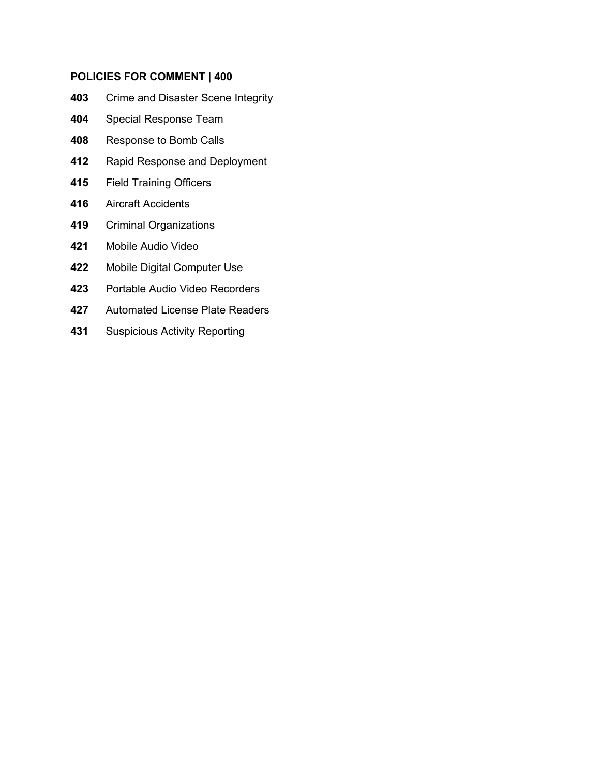#### **POLICIES FOR COMMENT | 400**

- [Crime and Disaster Scene Integrity](#page-1-0)
- [Special Response Team](#page-4-0)
- [Response to Bomb Calls](#page-14-0)
- [Rapid Response and Deployment](#page-19-0)
- [Field Training Officers](#page-22-0)
- [Aircraft Accidents](#page-25-0)
- [Criminal Organizations](#page-29-0)
- [Mobile Audio Video](#page-33-0)
- [Mobile Digital Computer Use](#page-39-0)
- [Portable Audio Video Recorders](#page-42-0)
- [Automated License Plate Readers](#page-48-0)
- [Suspicious Activity Reporting](#page-50-0)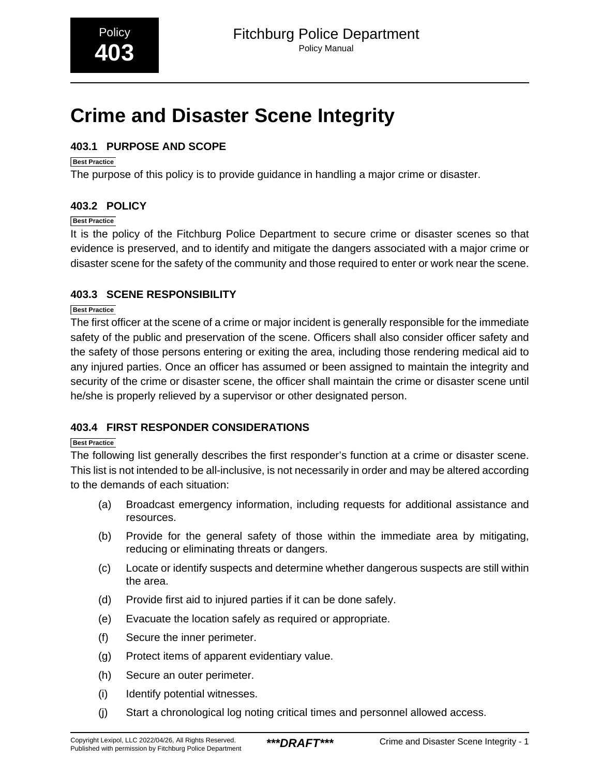# <span id="page-1-0"></span>**Crime and Disaster Scene Integrity**

#### **403.1 PURPOSE AND SCOPE**

#### **Best Practice**

The purpose of this policy is to provide guidance in handling a major crime or disaster.

#### **403.2 POLICY**

#### **Best Practice**

It is the policy of the Fitchburg Police Department to secure crime or disaster scenes so that evidence is preserved, and to identify and mitigate the dangers associated with a major crime or disaster scene for the safety of the community and those required to enter or work near the scene.

#### **403.3 SCENE RESPONSIBILITY**

#### **Best Practice**

The first officer at the scene of a crime or major incident is generally responsible for the immediate safety of the public and preservation of the scene. Officers shall also consider officer safety and the safety of those persons entering or exiting the area, including those rendering medical aid to any injured parties. Once an officer has assumed or been assigned to maintain the integrity and security of the crime or disaster scene, the officer shall maintain the crime or disaster scene until he/she is properly relieved by a supervisor or other designated person.

#### **403.4 FIRST RESPONDER CONSIDERATIONS**

#### **Best Practice**

The following list generally describes the first responder's function at a crime or disaster scene. This list is not intended to be all-inclusive, is not necessarily in order and may be altered according to the demands of each situation:

- (a) Broadcast emergency information, including requests for additional assistance and resources.
- (b) Provide for the general safety of those within the immediate area by mitigating, reducing or eliminating threats or dangers.
- (c) Locate or identify suspects and determine whether dangerous suspects are still within the area.
- (d) Provide first aid to injured parties if it can be done safely.
- (e) Evacuate the location safely as required or appropriate.
- (f) Secure the inner perimeter.
- (g) Protect items of apparent evidentiary value.
- (h) Secure an outer perimeter.
- (i) Identify potential witnesses.
- (j) Start a chronological log noting critical times and personnel allowed access.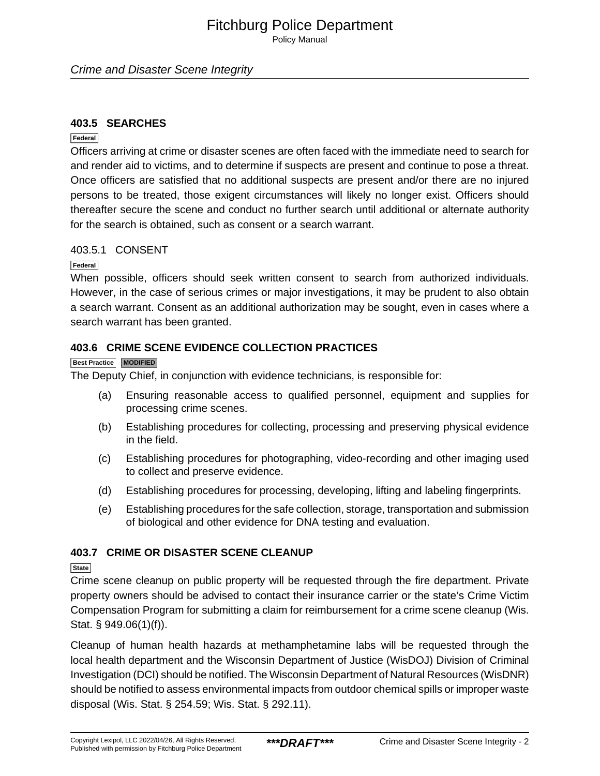Policy Manual

#### **403.5 SEARCHES**

#### **Federal**

Officers arriving at crime or disaster scenes are often faced with the immediate need to search for and render aid to victims, and to determine if suspects are present and continue to pose a threat. Once officers are satisfied that no additional suspects are present and/or there are no injured persons to be treated, those exigent circumstances will likely no longer exist. Officers should thereafter secure the scene and conduct no further search until additional or alternate authority for the search is obtained, such as consent or a search warrant.

#### 403.5.1 CONSENT

#### **Federal**

When possible, officers should seek written consent to search from authorized individuals. However, in the case of serious crimes or major investigations, it may be prudent to also obtain a search warrant. Consent as an additional authorization may be sought, even in cases where a search warrant has been granted.

#### **403.6 CRIME SCENE EVIDENCE COLLECTION PRACTICES**

#### **Best Practice MODIFIED**

The Deputy Chief, in conjunction with evidence technicians, is responsible for:

- (a) Ensuring reasonable access to qualified personnel, equipment and supplies for processing crime scenes.
- (b) Establishing procedures for collecting, processing and preserving physical evidence in the field.
- (c) Establishing procedures for photographing, video-recording and other imaging used to collect and preserve evidence.
- (d) Establishing procedures for processing, developing, lifting and labeling fingerprints.
- (e) Establishing procedures for the safe collection, storage, transportation and submission of biological and other evidence for DNA testing and evaluation.

#### **403.7 CRIME OR DISASTER SCENE CLEANUP**

#### **State**

Crime scene cleanup on public property will be requested through the fire department. Private property owners should be advised to contact their insurance carrier or the state's Crime Victim Compensation Program for submitting a claim for reimbursement for a crime scene cleanup (Wis. Stat. § 949.06(1)(f)).

Cleanup of human health hazards at methamphetamine labs will be requested through the local health department and the Wisconsin Department of Justice (WisDOJ) Division of Criminal Investigation (DCI) should be notified. The Wisconsin Department of Natural Resources (WisDNR) should be notified to assess environmental impacts from outdoor chemical spills or improper waste disposal (Wis. Stat. § 254.59; Wis. Stat. § 292.11).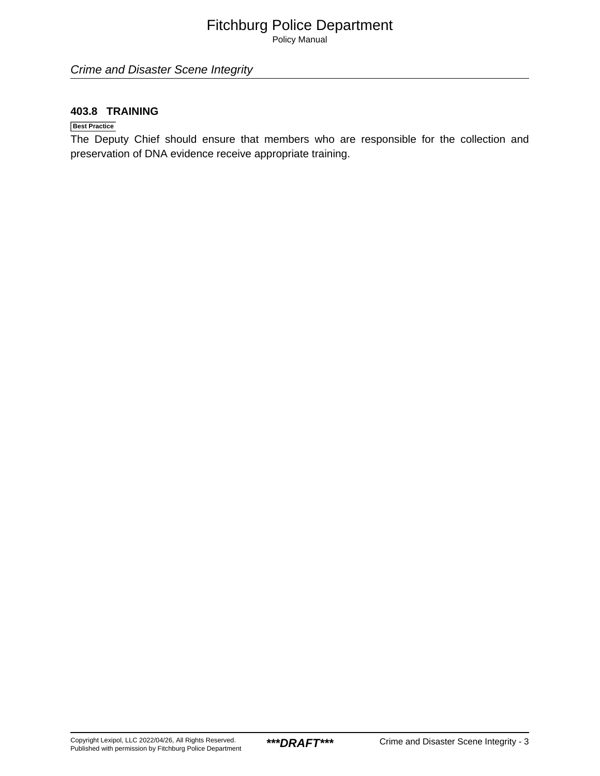Policy Manual

Crime and Disaster Scene Integrity

#### **403.8 TRAINING**

#### **Best Practice**

The Deputy Chief should ensure that members who are responsible for the collection and preservation of DNA evidence receive appropriate training.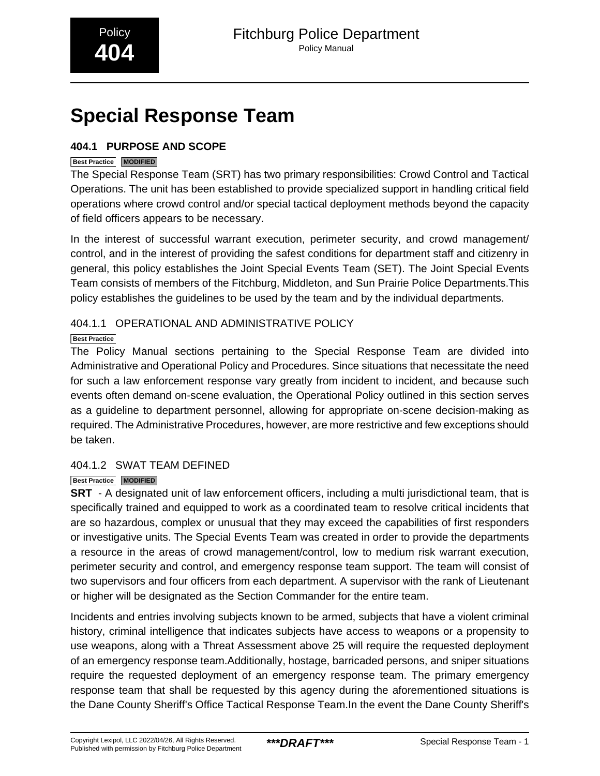# <span id="page-4-0"></span>**Special Response Team**

#### **404.1 PURPOSE AND SCOPE**

#### **Best Practice MODIFIED**

The Special Response Team (SRT) has two primary responsibilities: Crowd Control and Tactical Operations. The unit has been established to provide specialized support in handling critical field operations where crowd control and/or special tactical deployment methods beyond the capacity of field officers appears to be necessary.

In the interest of successful warrant execution, perimeter security, and crowd management/ control, and in the interest of providing the safest conditions for department staff and citizenry in general, this policy establishes the Joint Special Events Team (SET). The Joint Special Events Team consists of members of the Fitchburg, Middleton, and Sun Prairie Police Departments.This policy establishes the guidelines to be used by the team and by the individual departments.

#### 404.1.1 OPERATIONAL AND ADMINISTRATIVE POLICY

#### **Best Practice**

The Policy Manual sections pertaining to the Special Response Team are divided into Administrative and Operational Policy and Procedures. Since situations that necessitate the need for such a law enforcement response vary greatly from incident to incident, and because such events often demand on-scene evaluation, the Operational Policy outlined in this section serves as a guideline to department personnel, allowing for appropriate on-scene decision-making as required. The Administrative Procedures, however, are more restrictive and few exceptions should be taken.

#### 404.1.2 SWAT TEAM DEFINED

#### **Best Practice MODIFIED**

**SRT** - A designated unit of law enforcement officers, including a multi jurisdictional team, that is specifically trained and equipped to work as a coordinated team to resolve critical incidents that are so hazardous, complex or unusual that they may exceed the capabilities of first responders or investigative units. The Special Events Team was created in order to provide the departments a resource in the areas of crowd management/control, low to medium risk warrant execution, perimeter security and control, and emergency response team support. The team will consist of two supervisors and four officers from each department. A supervisor with the rank of Lieutenant or higher will be designated as the Section Commander for the entire team.

Incidents and entries involving subjects known to be armed, subjects that have a violent criminal history, criminal intelligence that indicates subjects have access to weapons or a propensity to use weapons, along with a Threat Assessment above 25 will require the requested deployment of an emergency response team.Additionally, hostage, barricaded persons, and sniper situations require the requested deployment of an emergency response team. The primary emergency response team that shall be requested by this agency during the aforementioned situations is the Dane County Sheriff's Office Tactical Response Team.In the event the Dane County Sheriff's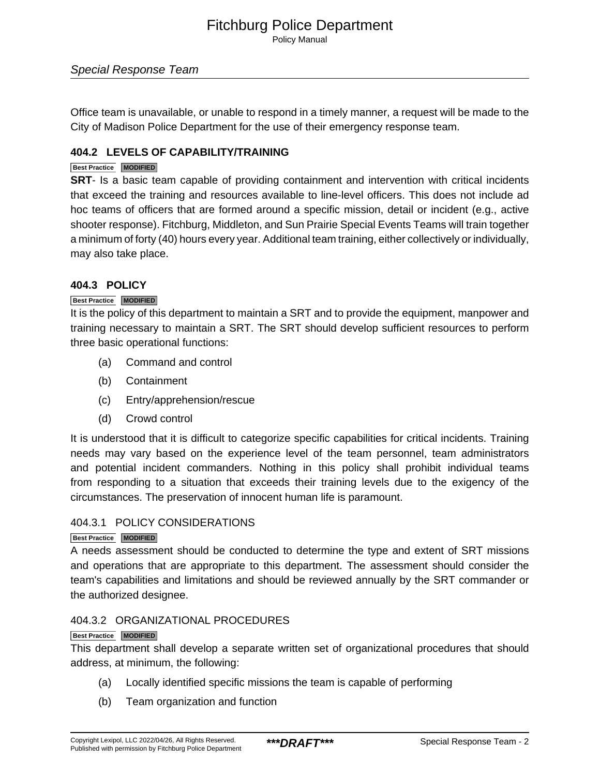Policy Manual

#### Special Response Team

Office team is unavailable, or unable to respond in a timely manner, a request will be made to the City of Madison Police Department for the use of their emergency response team.

#### **404.2 LEVELS OF CAPABILITY/TRAINING**

#### **Best Practice MODIFIED**

**SRT**- Is a basic team capable of providing containment and intervention with critical incidents that exceed the training and resources available to line-level officers. This does not include ad hoc teams of officers that are formed around a specific mission, detail or incident (e.g., active shooter response). Fitchburg, Middleton, and Sun Prairie Special Events Teams will train together a minimum of forty (40) hours every year. Additional team training, either collectively or individually, may also take place.

#### **404.3 POLICY**

#### **Best Practice MODIFIED**

It is the policy of this department to maintain a SRT and to provide the equipment, manpower and training necessary to maintain a SRT. The SRT should develop sufficient resources to perform three basic operational functions:

- (a) Command and control
- (b) Containment
- (c) Entry/apprehension/rescue
- (d) Crowd control

It is understood that it is difficult to categorize specific capabilities for critical incidents. Training needs may vary based on the experience level of the team personnel, team administrators and potential incident commanders. Nothing in this policy shall prohibit individual teams from responding to a situation that exceeds their training levels due to the exigency of the circumstances. The preservation of innocent human life is paramount.

#### 404.3.1 POLICY CONSIDERATIONS

#### **Best Practice MODIFIED**

A needs assessment should be conducted to determine the type and extent of SRT missions and operations that are appropriate to this department. The assessment should consider the team's capabilities and limitations and should be reviewed annually by the SRT commander or the authorized designee.

#### 404.3.2 ORGANIZATIONAL PROCEDURES

#### **Best Practice MODIFIED**

This department shall develop a separate written set of organizational procedures that should address, at minimum, the following:

- (a) Locally identified specific missions the team is capable of performing
- (b) Team organization and function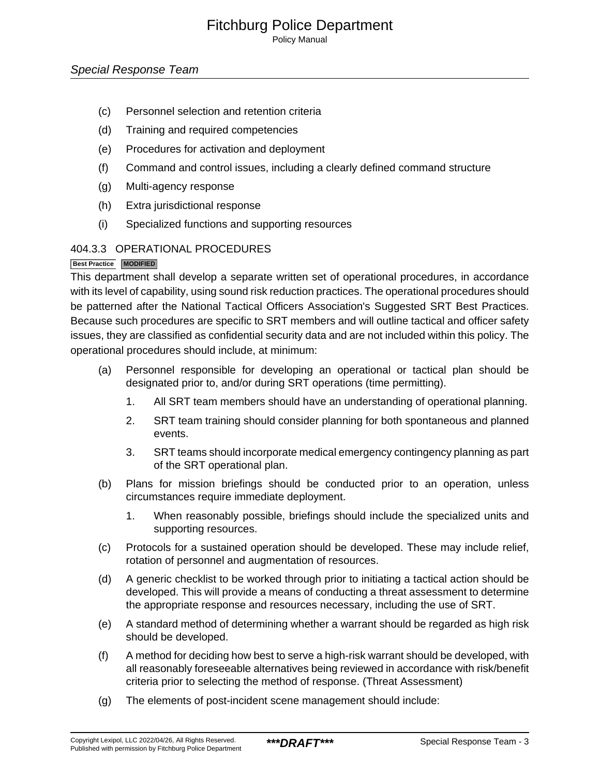Policy Manual

- (c) Personnel selection and retention criteria
- (d) Training and required competencies
- (e) Procedures for activation and deployment
- (f) Command and control issues, including a clearly defined command structure
- (g) Multi-agency response
- (h) Extra jurisdictional response
- (i) Specialized functions and supporting resources

#### 404.3.3 OPERATIONAL PROCEDURES

#### **Best Practice MODIFIED**

This department shall develop a separate written set of operational procedures, in accordance with its level of capability, using sound risk reduction practices. The operational procedures should be patterned after the National Tactical Officers Association's Suggested SRT Best Practices. Because such procedures are specific to SRT members and will outline tactical and officer safety issues, they are classified as confidential security data and are not included within this policy. The operational procedures should include, at minimum:

- (a) Personnel responsible for developing an operational or tactical plan should be designated prior to, and/or during SRT operations (time permitting).
	- 1. All SRT team members should have an understanding of operational planning.
	- 2. SRT team training should consider planning for both spontaneous and planned events.
	- 3. SRT teams should incorporate medical emergency contingency planning as part of the SRT operational plan.
- (b) Plans for mission briefings should be conducted prior to an operation, unless circumstances require immediate deployment.
	- 1. When reasonably possible, briefings should include the specialized units and supporting resources.
- (c) Protocols for a sustained operation should be developed. These may include relief, rotation of personnel and augmentation of resources.
- (d) A generic checklist to be worked through prior to initiating a tactical action should be developed. This will provide a means of conducting a threat assessment to determine the appropriate response and resources necessary, including the use of SRT.
- (e) A standard method of determining whether a warrant should be regarded as high risk should be developed.
- (f) A method for deciding how best to serve a high-risk warrant should be developed, with all reasonably foreseeable alternatives being reviewed in accordance with risk/benefit criteria prior to selecting the method of response. (Threat Assessment)
- (g) The elements of post-incident scene management should include: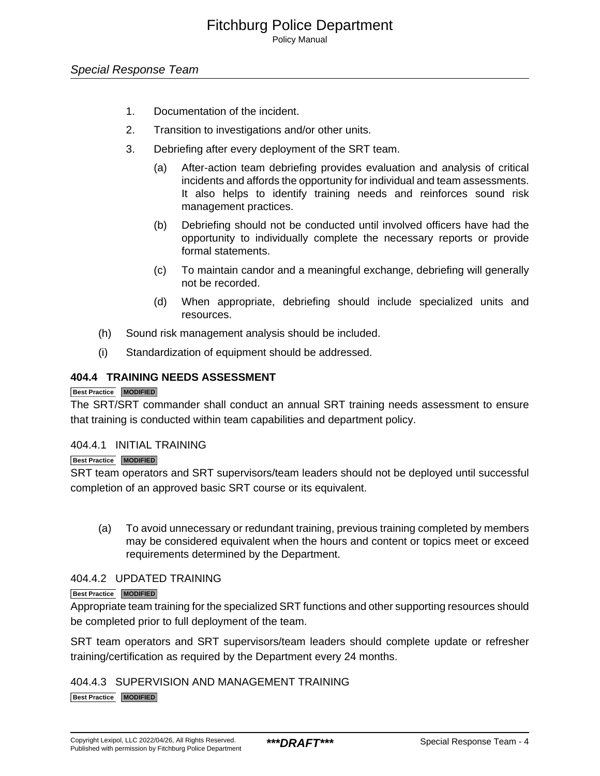Policy Manual

- 1. Documentation of the incident.
- 2. Transition to investigations and/or other units.
- 3. Debriefing after every deployment of the SRT team.
	- (a) After-action team debriefing provides evaluation and analysis of critical incidents and affords the opportunity for individual and team assessments. It also helps to identify training needs and reinforces sound risk management practices.
	- (b) Debriefing should not be conducted until involved officers have had the opportunity to individually complete the necessary reports or provide formal statements.
	- (c) To maintain candor and a meaningful exchange, debriefing will generally not be recorded.
	- (d) When appropriate, debriefing should include specialized units and resources.
- (h) Sound risk management analysis should be included.
- (i) Standardization of equipment should be addressed.

#### **404.4 TRAINING NEEDS ASSESSMENT**

#### **Best Practice MODIFIED**

The SRT/SRT commander shall conduct an annual SRT training needs assessment to ensure that training is conducted within team capabilities and department policy.

#### 404.4.1 INITIAL TRAINING

#### **Best Practice MODIFIED**

SRT team operators and SRT supervisors/team leaders should not be deployed until successful completion of an approved basic SRT course or its equivalent.

(a) To avoid unnecessary or redundant training, previous training completed by members may be considered equivalent when the hours and content or topics meet or exceed requirements determined by the Department.

#### 404.4.2 UPDATED TRAINING

#### **Best Practice MODIFIED**

Appropriate team training for the specialized SRT functions and other supporting resources should be completed prior to full deployment of the team.

SRT team operators and SRT supervisors/team leaders should complete update or refresher training/certification as required by the Department every 24 months.

#### 404.4.3 SUPERVISION AND MANAGEMENT TRAINING

**Best Practice MODIFIED**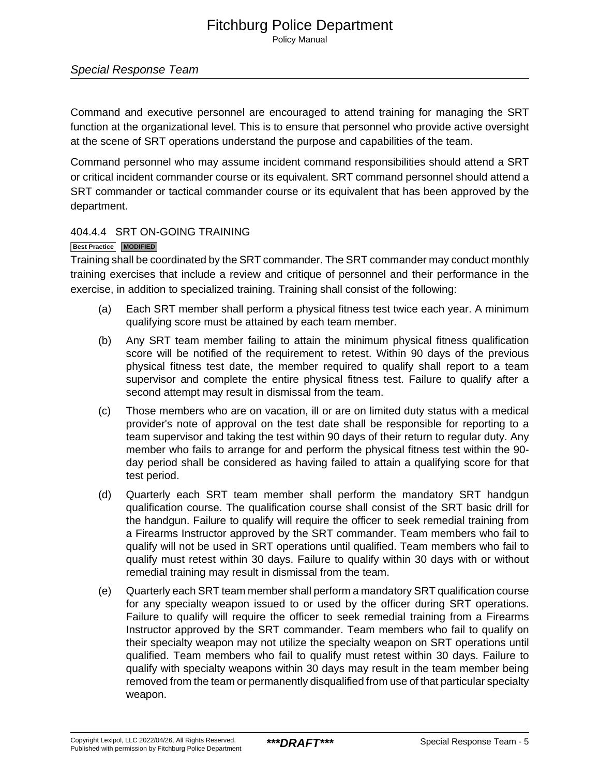#### Special Response Team

Command and executive personnel are encouraged to attend training for managing the SRT function at the organizational level. This is to ensure that personnel who provide active oversight at the scene of SRT operations understand the purpose and capabilities of the team.

Command personnel who may assume incident command responsibilities should attend a SRT or critical incident commander course or its equivalent. SRT command personnel should attend a SRT commander or tactical commander course or its equivalent that has been approved by the department.

#### 404.4.4 SRT ON-GOING TRAINING

#### **Best Practice MODIFIED**

Training shall be coordinated by the SRT commander. The SRT commander may conduct monthly training exercises that include a review and critique of personnel and their performance in the exercise, in addition to specialized training. Training shall consist of the following:

- (a) Each SRT member shall perform a physical fitness test twice each year. A minimum qualifying score must be attained by each team member.
- (b) Any SRT team member failing to attain the minimum physical fitness qualification score will be notified of the requirement to retest. Within 90 days of the previous physical fitness test date, the member required to qualify shall report to a team supervisor and complete the entire physical fitness test. Failure to qualify after a second attempt may result in dismissal from the team.
- (c) Those members who are on vacation, ill or are on limited duty status with a medical provider's note of approval on the test date shall be responsible for reporting to a team supervisor and taking the test within 90 days of their return to regular duty. Any member who fails to arrange for and perform the physical fitness test within the 90 day period shall be considered as having failed to attain a qualifying score for that test period.
- (d) Quarterly each SRT team member shall perform the mandatory SRT handgun qualification course. The qualification course shall consist of the SRT basic drill for the handgun. Failure to qualify will require the officer to seek remedial training from a Firearms Instructor approved by the SRT commander. Team members who fail to qualify will not be used in SRT operations until qualified. Team members who fail to qualify must retest within 30 days. Failure to qualify within 30 days with or without remedial training may result in dismissal from the team.
- (e) Quarterly each SRT team member shall perform a mandatory SRT qualification course for any specialty weapon issued to or used by the officer during SRT operations. Failure to qualify will require the officer to seek remedial training from a Firearms Instructor approved by the SRT commander. Team members who fail to qualify on their specialty weapon may not utilize the specialty weapon on SRT operations until qualified. Team members who fail to qualify must retest within 30 days. Failure to qualify with specialty weapons within 30 days may result in the team member being removed from the team or permanently disqualified from use of that particular specialty weapon.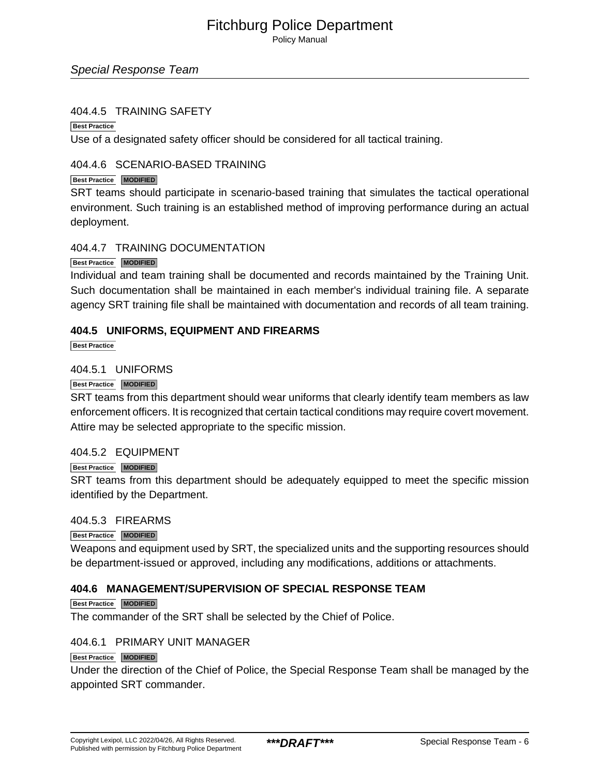Policy Manual

#### Special Response Team

#### 404.4.5 TRAINING SAFETY

**Best Practice**

Use of a designated safety officer should be considered for all tactical training.

#### 404.4.6 SCENARIO-BASED TRAINING

#### **Best Practice MODIFIED**

SRT teams should participate in scenario-based training that simulates the tactical operational environment. Such training is an established method of improving performance during an actual deployment.

404.4.7 TRAINING DOCUMENTATION

#### **Best Practice MODIFIED**

Individual and team training shall be documented and records maintained by the Training Unit. Such documentation shall be maintained in each member's individual training file. A separate agency SRT training file shall be maintained with documentation and records of all team training.

#### **404.5 UNIFORMS, EQUIPMENT AND FIREARMS**

**Best Practice**

#### 404.5.1 UNIFORMS

#### **Best Practice MODIFIED**

SRT teams from this department should wear uniforms that clearly identify team members as law enforcement officers. It is recognized that certain tactical conditions may require covert movement. Attire may be selected appropriate to the specific mission.

#### 404.5.2 EQUIPMENT

#### **Best Practice MODIFIED**

SRT teams from this department should be adequately equipped to meet the specific mission identified by the Department.

#### 404.5.3 FIREARMS

#### **Best Practice MODIFIED**

Weapons and equipment used by SRT, the specialized units and the supporting resources should be department-issued or approved, including any modifications, additions or attachments.

#### **404.6 MANAGEMENT/SUPERVISION OF SPECIAL RESPONSE TEAM**

#### **Best Practice MODIFIED**

The commander of the SRT shall be selected by the Chief of Police.

#### 404.6.1 PRIMARY UNIT MANAGER

#### **Best Practice MODIFIED**

Under the direction of the Chief of Police, the Special Response Team shall be managed by the appointed SRT commander.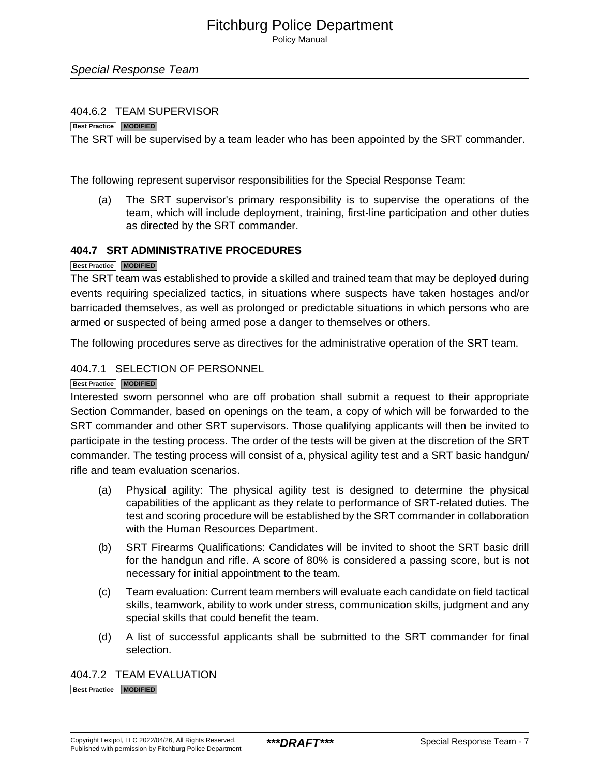Policy Manual

#### Special Response Team

#### 404.6.2 TEAM SUPERVISOR

#### **Best Practice MODIFIED**

The SRT will be supervised by a team leader who has been appointed by the SRT commander.

The following represent supervisor responsibilities for the Special Response Team:

(a) The SRT supervisor's primary responsibility is to supervise the operations of the team, which will include deployment, training, first-line participation and other duties as directed by the SRT commander.

#### **404.7 SRT ADMINISTRATIVE PROCEDURES**

#### **Best Practice MODIFIED**

The SRT team was established to provide a skilled and trained team that may be deployed during events requiring specialized tactics, in situations where suspects have taken hostages and/or barricaded themselves, as well as prolonged or predictable situations in which persons who are armed or suspected of being armed pose a danger to themselves or others.

The following procedures serve as directives for the administrative operation of the SRT team.

#### 404.7.1 SELECTION OF PERSONNEL

#### **Best Practice MODIFIED**

Interested sworn personnel who are off probation shall submit a request to their appropriate Section Commander, based on openings on the team, a copy of which will be forwarded to the SRT commander and other SRT supervisors. Those qualifying applicants will then be invited to participate in the testing process. The order of the tests will be given at the discretion of the SRT commander. The testing process will consist of a, physical agility test and a SRT basic handgun/ rifle and team evaluation scenarios.

- (a) Physical agility: The physical agility test is designed to determine the physical capabilities of the applicant as they relate to performance of SRT-related duties. The test and scoring procedure will be established by the SRT commander in collaboration with the Human Resources Department.
- (b) SRT Firearms Qualifications: Candidates will be invited to shoot the SRT basic drill for the handgun and rifle. A score of 80% is considered a passing score, but is not necessary for initial appointment to the team.
- (c) Team evaluation: Current team members will evaluate each candidate on field tactical skills, teamwork, ability to work under stress, communication skills, judgment and any special skills that could benefit the team.
- (d) A list of successful applicants shall be submitted to the SRT commander for final selection.

404.7.2 TEAM EVALUATION **Best Practice MODIFIED**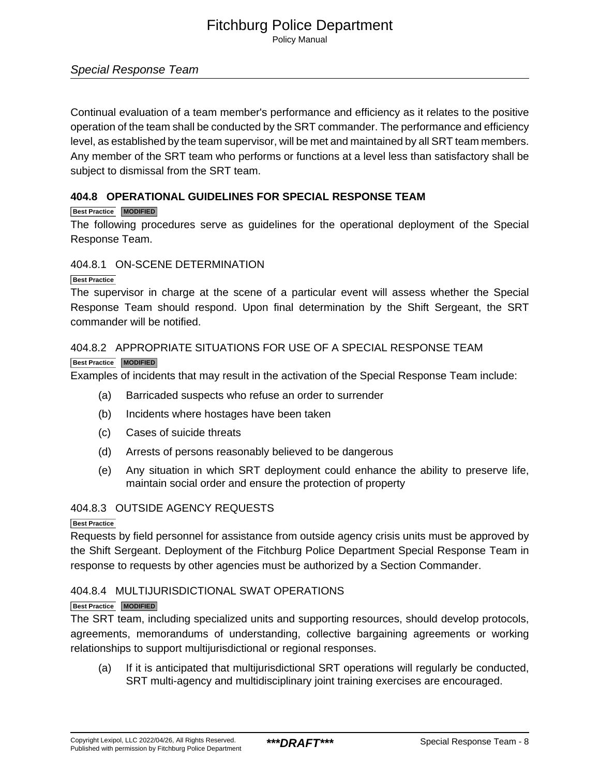Policy Manual

#### Special Response Team

Continual evaluation of a team member's performance and efficiency as it relates to the positive operation of the team shall be conducted by the SRT commander. The performance and efficiency level, as established by the team supervisor, will be met and maintained by all SRT team members. Any member of the SRT team who performs or functions at a level less than satisfactory shall be subject to dismissal from the SRT team.

#### **404.8 OPERATIONAL GUIDELINES FOR SPECIAL RESPONSE TEAM**

#### **Best Practice MODIFIED**

The following procedures serve as guidelines for the operational deployment of the Special Response Team.

#### 404.8.1 ON-SCENE DETERMINATION

#### **Best Practice**

The supervisor in charge at the scene of a particular event will assess whether the Special Response Team should respond. Upon final determination by the Shift Sergeant, the SRT commander will be notified.

#### 404.8.2 APPROPRIATE SITUATIONS FOR USE OF A SPECIAL RESPONSE TEAM

#### **Best Practice MODIFIED**

Examples of incidents that may result in the activation of the Special Response Team include:

- (a) Barricaded suspects who refuse an order to surrender
- (b) Incidents where hostages have been taken
- (c) Cases of suicide threats
- (d) Arrests of persons reasonably believed to be dangerous
- (e) Any situation in which SRT deployment could enhance the ability to preserve life, maintain social order and ensure the protection of property

#### 404.8.3 OUTSIDE AGENCY REQUESTS

#### **Best Practice**

Requests by field personnel for assistance from outside agency crisis units must be approved by the Shift Sergeant. Deployment of the Fitchburg Police Department Special Response Team in response to requests by other agencies must be authorized by a Section Commander.

#### 404.8.4 MULTIJURISDICTIONAL SWAT OPERATIONS

#### **Best Practice MODIFIED**

The SRT team, including specialized units and supporting resources, should develop protocols, agreements, memorandums of understanding, collective bargaining agreements or working relationships to support multijurisdictional or regional responses.

(a) If it is anticipated that multijurisdictional SRT operations will regularly be conducted, SRT multi-agency and multidisciplinary joint training exercises are encouraged.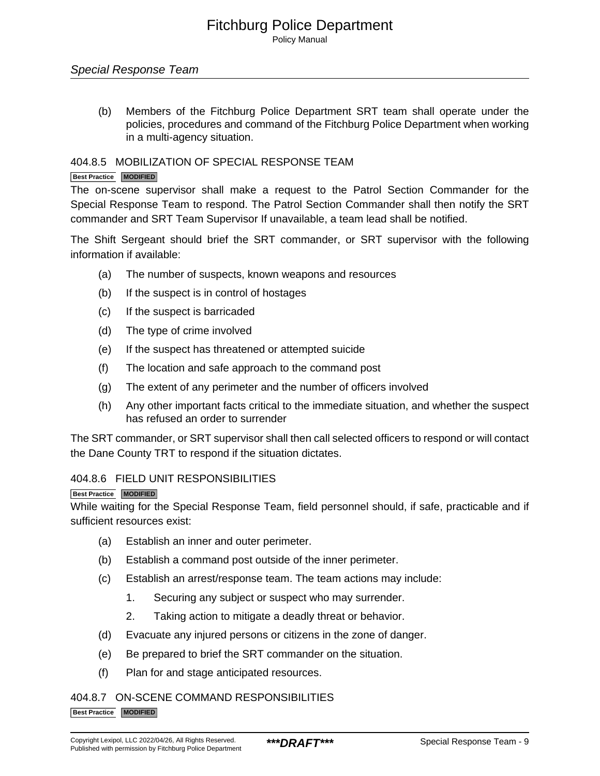Policy Manual

#### Special Response Team

(b) Members of the Fitchburg Police Department SRT team shall operate under the policies, procedures and command of the Fitchburg Police Department when working in a multi-agency situation.

#### 404.8.5 MOBILIZATION OF SPECIAL RESPONSE TEAM

#### **Best Practice MODIFIED**

The on-scene supervisor shall make a request to the Patrol Section Commander for the Special Response Team to respond. The Patrol Section Commander shall then notify the SRT commander and SRT Team Supervisor If unavailable, a team lead shall be notified.

The Shift Sergeant should brief the SRT commander, or SRT supervisor with the following information if available:

- (a) The number of suspects, known weapons and resources
- (b) If the suspect is in control of hostages
- (c) If the suspect is barricaded
- (d) The type of crime involved
- (e) If the suspect has threatened or attempted suicide
- (f) The location and safe approach to the command post
- (g) The extent of any perimeter and the number of officers involved
- (h) Any other important facts critical to the immediate situation, and whether the suspect has refused an order to surrender

The SRT commander, or SRT supervisor shall then call selected officers to respond or will contact the Dane County TRT to respond if the situation dictates.

#### 404.8.6 FIELD UNIT RESPONSIBILITIES

**Best Practice MODIFIED**

While waiting for the Special Response Team, field personnel should, if safe, practicable and if sufficient resources exist:

- (a) Establish an inner and outer perimeter.
- (b) Establish a command post outside of the inner perimeter.
- (c) Establish an arrest/response team. The team actions may include:
	- 1. Securing any subject or suspect who may surrender.
	- 2. Taking action to mitigate a deadly threat or behavior.
- (d) Evacuate any injured persons or citizens in the zone of danger.
- (e) Be prepared to brief the SRT commander on the situation.
- (f) Plan for and stage anticipated resources.

#### 404.8.7 ON-SCENE COMMAND RESPONSIBILITIES

**Best Practice MODIFIED**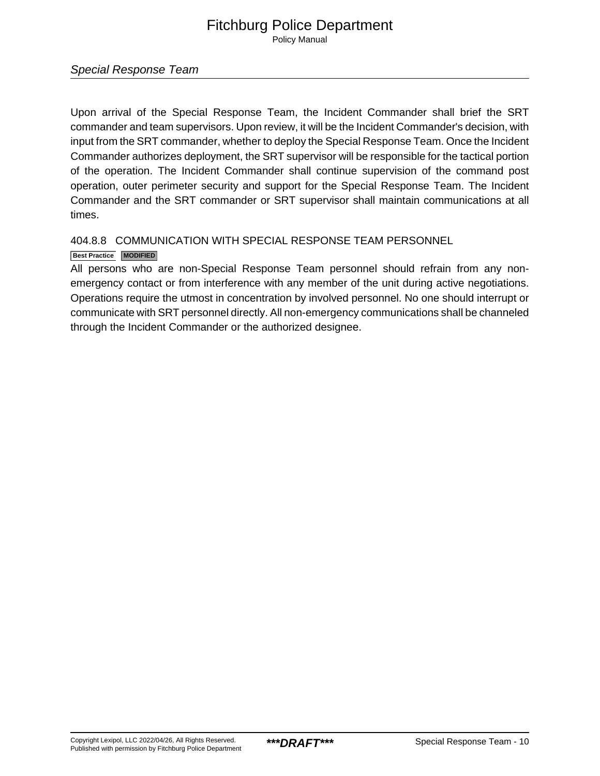Policy Manual

#### Special Response Team

Upon arrival of the Special Response Team, the Incident Commander shall brief the SRT commander and team supervisors. Upon review, it will be the Incident Commander's decision, with input from the SRT commander, whether to deploy the Special Response Team. Once the Incident Commander authorizes deployment, the SRT supervisor will be responsible for the tactical portion of the operation. The Incident Commander shall continue supervision of the command post operation, outer perimeter security and support for the Special Response Team. The Incident Commander and the SRT commander or SRT supervisor shall maintain communications at all times.

#### 404.8.8 COMMUNICATION WITH SPECIAL RESPONSE TEAM PERSONNEL

#### **Best Practice MODIFIED**

All persons who are non-Special Response Team personnel should refrain from any nonemergency contact or from interference with any member of the unit during active negotiations. Operations require the utmost in concentration by involved personnel. No one should interrupt or communicate with SRT personnel directly. All non-emergency communications shall be channeled through the Incident Commander or the authorized designee.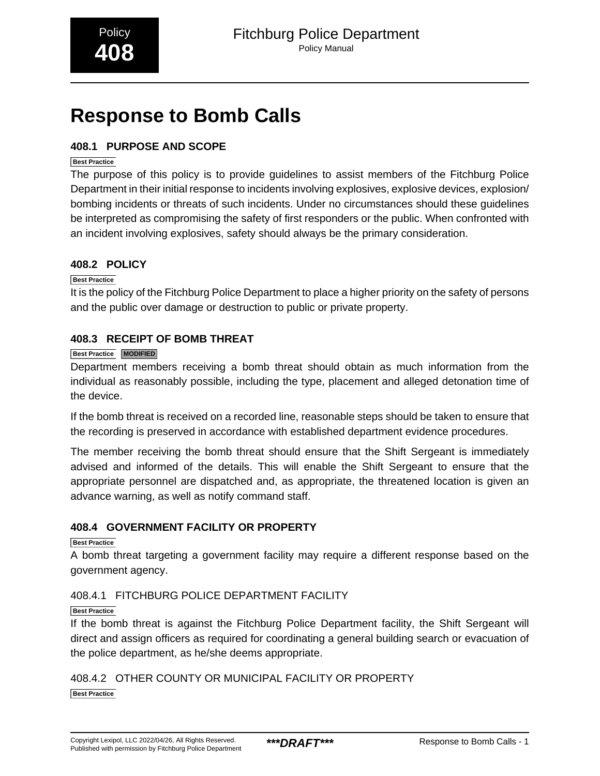# <span id="page-14-0"></span>**Response to Bomb Calls**

#### **408.1 PURPOSE AND SCOPE**

#### **Best Practice**

The purpose of this policy is to provide guidelines to assist members of the Fitchburg Police Department in their initial response to incidents involving explosives, explosive devices, explosion/ bombing incidents or threats of such incidents. Under no circumstances should these guidelines be interpreted as compromising the safety of first responders or the public. When confronted with an incident involving explosives, safety should always be the primary consideration.

#### **408.2 POLICY**

#### **Best Practice**

It is the policy of the Fitchburg Police Department to place a higher priority on the safety of persons and the public over damage or destruction to public or private property.

#### **408.3 RECEIPT OF BOMB THREAT**

#### **Best Practice MODIFIED**

Department members receiving a bomb threat should obtain as much information from the individual as reasonably possible, including the type, placement and alleged detonation time of the device.

If the bomb threat is received on a recorded line, reasonable steps should be taken to ensure that the recording is preserved in accordance with established department evidence procedures.

The member receiving the bomb threat should ensure that the Shift Sergeant is immediately advised and informed of the details. This will enable the Shift Sergeant to ensure that the appropriate personnel are dispatched and, as appropriate, the threatened location is given an advance warning, as well as notify command staff.

#### **408.4 GOVERNMENT FACILITY OR PROPERTY**

**Best Practice**

A bomb threat targeting a government facility may require a different response based on the government agency.

#### 408.4.1 FITCHBURG POLICE DEPARTMENT FACILITY

#### **Best Practice**

If the bomb threat is against the Fitchburg Police Department facility, the Shift Sergeant will direct and assign officers as required for coordinating a general building search or evacuation of the police department, as he/she deems appropriate.

#### 408.4.2 OTHER COUNTY OR MUNICIPAL FACILITY OR PROPERTY **Best Practice**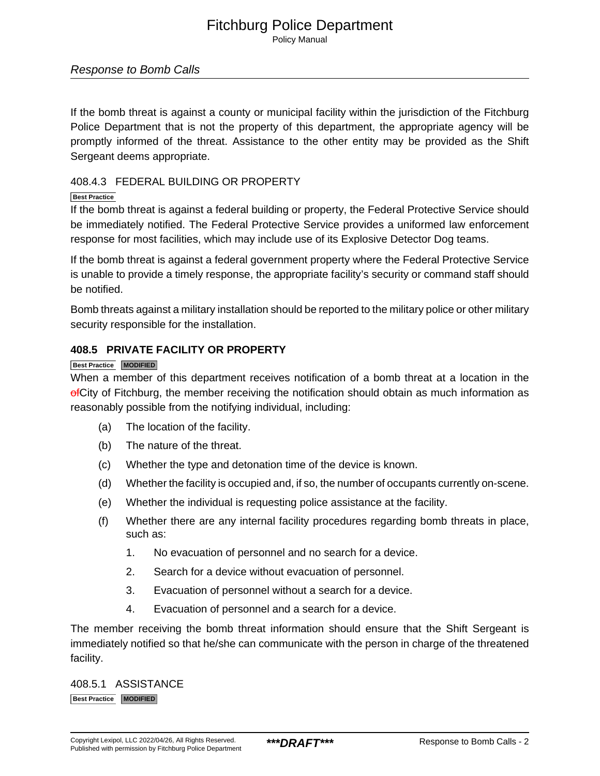Policy Manual

#### Response to Bomb Calls

If the bomb threat is against a county or municipal facility within the jurisdiction of the Fitchburg Police Department that is not the property of this department, the appropriate agency will be promptly informed of the threat. Assistance to the other entity may be provided as the Shift Sergeant deems appropriate.

#### 408.4.3 FEDERAL BUILDING OR PROPERTY

#### **Best Practice**

If the bomb threat is against a federal building or property, the Federal Protective Service should be immediately notified. The Federal Protective Service provides a uniformed law enforcement response for most facilities, which may include use of its Explosive Detector Dog teams.

If the bomb threat is against a federal government property where the Federal Protective Service is unable to provide a timely response, the appropriate facility's security or command staff should be notified.

Bomb threats against a military installation should be reported to the military police or other military security responsible for the installation.

#### **408.5 PRIVATE FACILITY OR PROPERTY**

#### **Best Practice MODIFIED**

When a member of this department receives notification of a bomb threat at a location in the of City of Fitchburg, the member receiving the notification should obtain as much information as reasonably possible from the notifying individual, including:

- (a) The location of the facility.
- (b) The nature of the threat.
- (c) Whether the type and detonation time of the device is known.
- (d) Whether the facility is occupied and, if so, the number of occupants currently on-scene.
- (e) Whether the individual is requesting police assistance at the facility.
- (f) Whether there are any internal facility procedures regarding bomb threats in place, such as:
	- 1. No evacuation of personnel and no search for a device.
	- 2. Search for a device without evacuation of personnel.
	- 3. Evacuation of personnel without a search for a device.
	- 4. Evacuation of personnel and a search for a device.

The member receiving the bomb threat information should ensure that the Shift Sergeant is immediately notified so that he/she can communicate with the person in charge of the threatened facility.

408.5.1 ASSISTANCE **Best Practice MODIFIED**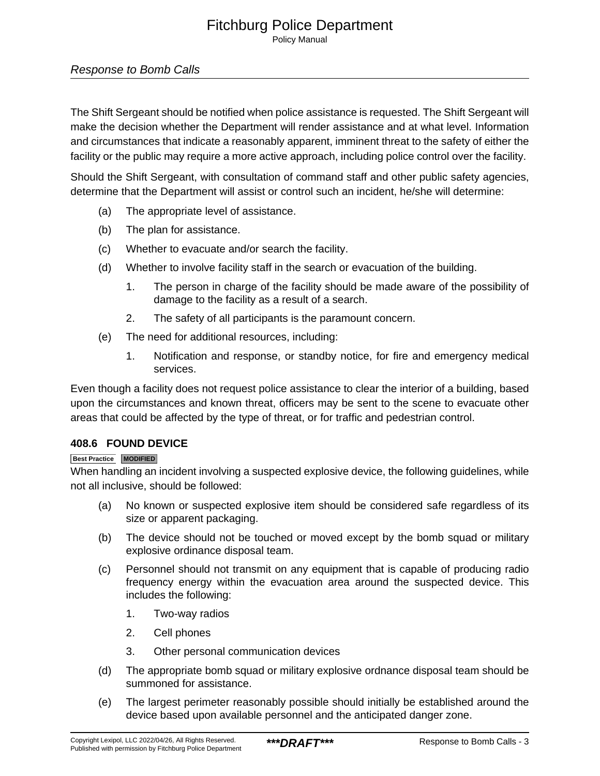Policy Manual

#### Response to Bomb Calls

The Shift Sergeant should be notified when police assistance is requested. The Shift Sergeant will make the decision whether the Department will render assistance and at what level. Information and circumstances that indicate a reasonably apparent, imminent threat to the safety of either the facility or the public may require a more active approach, including police control over the facility.

Should the Shift Sergeant, with consultation of command staff and other public safety agencies, determine that the Department will assist or control such an incident, he/she will determine:

- (a) The appropriate level of assistance.
- (b) The plan for assistance.
- (c) Whether to evacuate and/or search the facility.
- (d) Whether to involve facility staff in the search or evacuation of the building.
	- 1. The person in charge of the facility should be made aware of the possibility of damage to the facility as a result of a search.
	- 2. The safety of all participants is the paramount concern.
- (e) The need for additional resources, including:
	- 1. Notification and response, or standby notice, for fire and emergency medical services.

Even though a facility does not request police assistance to clear the interior of a building, based upon the circumstances and known threat, officers may be sent to the scene to evacuate other areas that could be affected by the type of threat, or for traffic and pedestrian control.

#### **408.6 FOUND DEVICE**

#### **Best Practice MODIFIED**

When handling an incident involving a suspected explosive device, the following guidelines, while not all inclusive, should be followed:

- (a) No known or suspected explosive item should be considered safe regardless of its size or apparent packaging.
- (b) The device should not be touched or moved except by the bomb squad or military explosive ordinance disposal team.
- (c) Personnel should not transmit on any equipment that is capable of producing radio frequency energy within the evacuation area around the suspected device. This includes the following:
	- 1. Two-way radios
	- 2. Cell phones
	- 3. Other personal communication devices
- (d) The appropriate bomb squad or military explosive ordnance disposal team should be summoned for assistance.
- (e) The largest perimeter reasonably possible should initially be established around the device based upon available personnel and the anticipated danger zone.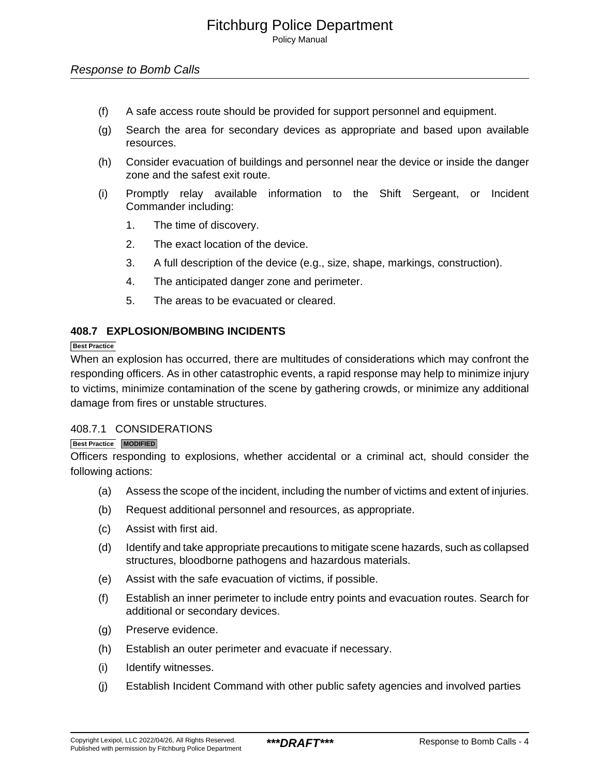#### Response to Bomb Calls

- (f) A safe access route should be provided for support personnel and equipment.
- (g) Search the area for secondary devices as appropriate and based upon available resources.
- (h) Consider evacuation of buildings and personnel near the device or inside the danger zone and the safest exit route.
- (i) Promptly relay available information to the Shift Sergeant, or Incident Commander including:
	- 1. The time of discovery.
	- 2. The exact location of the device.
	- 3. A full description of the device (e.g., size, shape, markings, construction).
	- 4. The anticipated danger zone and perimeter.
	- 5. The areas to be evacuated or cleared.

#### **408.7 EXPLOSION/BOMBING INCIDENTS**

#### **Best Practice**

When an explosion has occurred, there are multitudes of considerations which may confront the responding officers. As in other catastrophic events, a rapid response may help to minimize injury to victims, minimize contamination of the scene by gathering crowds, or minimize any additional damage from fires or unstable structures.

#### 408.7.1 CONSIDERATIONS

#### **Best Practice MODIFIED**

Officers responding to explosions, whether accidental or a criminal act, should consider the following actions:

- (a) Assess the scope of the incident, including the number of victims and extent of injuries.
- (b) Request additional personnel and resources, as appropriate.
- (c) Assist with first aid.
- (d) Identify and take appropriate precautions to mitigate scene hazards, such as collapsed structures, bloodborne pathogens and hazardous materials.
- (e) Assist with the safe evacuation of victims, if possible.
- (f) Establish an inner perimeter to include entry points and evacuation routes. Search for additional or secondary devices.
- (g) Preserve evidence.
- (h) Establish an outer perimeter and evacuate if necessary.
- (i) Identify witnesses.
- (j) Establish Incident Command with other public safety agencies and involved parties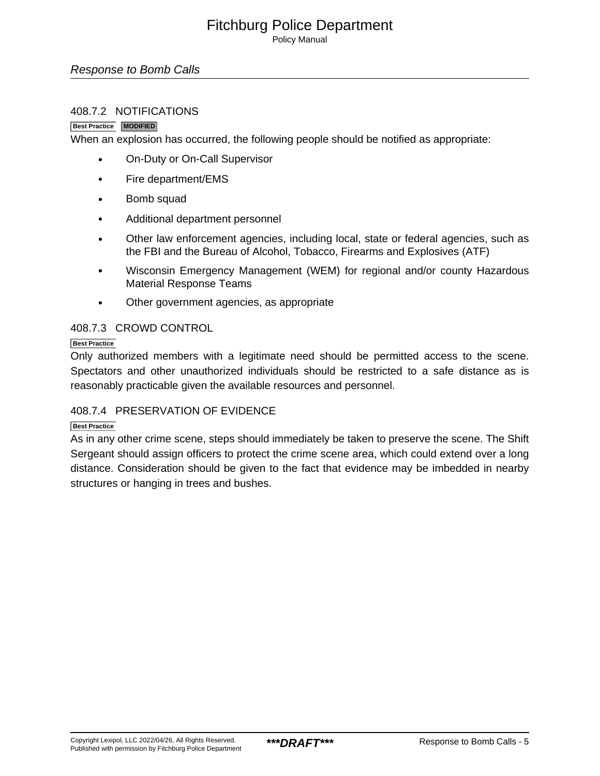Policy Manual

#### Response to Bomb Calls

#### 408.7.2 NOTIFICATIONS

#### **Best Practice MODIFIED**

When an explosion has occurred, the following people should be notified as appropriate:

- On-Duty or On-Call Supervisor
- Fire department/EMS
- Bomb squad
- Additional department personnel
- Other law enforcement agencies, including local, state or federal agencies, such as the FBI and the Bureau of Alcohol, Tobacco, Firearms and Explosives (ATF)
- Wisconsin Emergency Management (WEM) for regional and/or county Hazardous Material Response Teams
- Other government agencies, as appropriate

#### 408.7.3 CROWD CONTROL

#### **Best Practice**

Only authorized members with a legitimate need should be permitted access to the scene. Spectators and other unauthorized individuals should be restricted to a safe distance as is reasonably practicable given the available resources and personnel.

#### 408.7.4 PRESERVATION OF EVIDENCE

#### **Best Practice**

As in any other crime scene, steps should immediately be taken to preserve the scene. The Shift Sergeant should assign officers to protect the crime scene area, which could extend over a long distance. Consideration should be given to the fact that evidence may be imbedded in nearby structures or hanging in trees and bushes.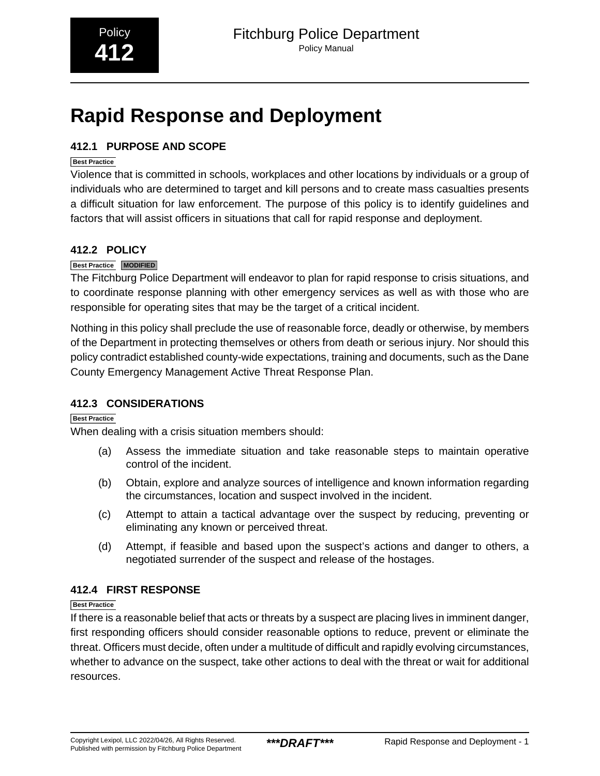# <span id="page-19-0"></span>**Rapid Response and Deployment**

#### **412.1 PURPOSE AND SCOPE**

#### **Best Practice**

Violence that is committed in schools, workplaces and other locations by individuals or a group of individuals who are determined to target and kill persons and to create mass casualties presents a difficult situation for law enforcement. The purpose of this policy is to identify guidelines and factors that will assist officers in situations that call for rapid response and deployment.

#### **412.2 POLICY**

#### **Best Practice MODIFIED**

The Fitchburg Police Department will endeavor to plan for rapid response to crisis situations, and to coordinate response planning with other emergency services as well as with those who are responsible for operating sites that may be the target of a critical incident.

Nothing in this policy shall preclude the use of reasonable force, deadly or otherwise, by members of the Department in protecting themselves or others from death or serious injury. Nor should this policy contradict established county-wide expectations, training and documents, such as the Dane County Emergency Management Active Threat Response Plan.

#### **412.3 CONSIDERATIONS**

#### **Best Practice**

When dealing with a crisis situation members should:

- (a) Assess the immediate situation and take reasonable steps to maintain operative control of the incident.
- (b) Obtain, explore and analyze sources of intelligence and known information regarding the circumstances, location and suspect involved in the incident.
- (c) Attempt to attain a tactical advantage over the suspect by reducing, preventing or eliminating any known or perceived threat.
- (d) Attempt, if feasible and based upon the suspect's actions and danger to others, a negotiated surrender of the suspect and release of the hostages.

#### **412.4 FIRST RESPONSE**

#### **Best Practice**

If there is a reasonable belief that acts or threats by a suspect are placing lives in imminent danger, first responding officers should consider reasonable options to reduce, prevent or eliminate the threat. Officers must decide, often under a multitude of difficult and rapidly evolving circumstances, whether to advance on the suspect, take other actions to deal with the threat or wait for additional resources.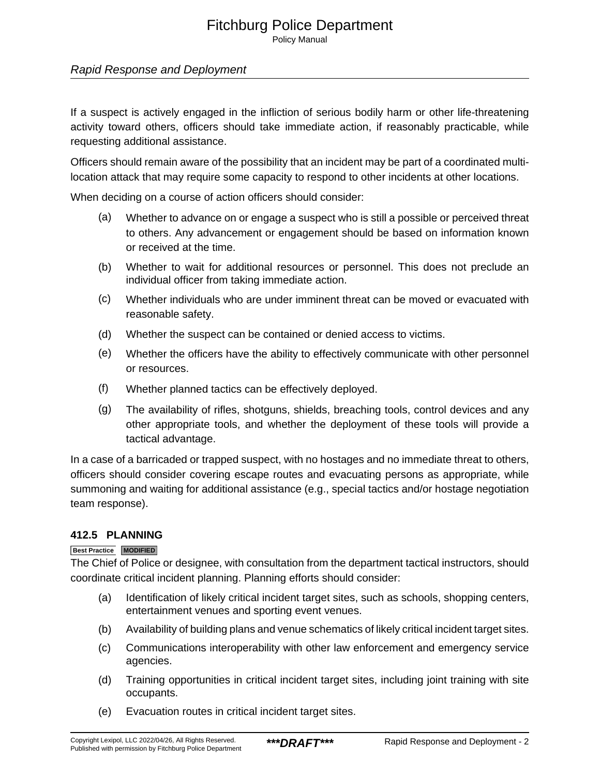Policy Manual

#### Rapid Response and Deployment

If a suspect is actively engaged in the infliction of serious bodily harm or other life-threatening activity toward others, officers should take immediate action, if reasonably practicable, while requesting additional assistance.

Officers should remain aware of the possibility that an incident may be part of a coordinated multilocation attack that may require some capacity to respond to other incidents at other locations.

When deciding on a course of action officers should consider:

- (a) Whether to advance on or engage a suspect who is still a possible or perceived threat to others. Any advancement or engagement should be based on information known or received at the time.
- (b) Whether to wait for additional resources or personnel. This does not preclude an individual officer from taking immediate action.
- (c) Whether individuals who are under imminent threat can be moved or evacuated with reasonable safety.
- (d) Whether the suspect can be contained or denied access to victims.
- (e) Whether the officers have the ability to effectively communicate with other personnel or resources.
- (f) Whether planned tactics can be effectively deployed.
- (g) The availability of rifles, shotguns, shields, breaching tools, control devices and any other appropriate tools, and whether the deployment of these tools will provide a tactical advantage.

In a case of a barricaded or trapped suspect, with no hostages and no immediate threat to others, officers should consider covering escape routes and evacuating persons as appropriate, while summoning and waiting for additional assistance (e.g., special tactics and/or hostage negotiation team response).

#### **412.5 PLANNING**

#### **Best Practice MODIFIED**

The Chief of Police or designee, with consultation from the department tactical instructors, should coordinate critical incident planning. Planning efforts should consider:

- (a) Identification of likely critical incident target sites, such as schools, shopping centers, entertainment venues and sporting event venues.
- (b) Availability of building plans and venue schematics of likely critical incident target sites.
- (c) Communications interoperability with other law enforcement and emergency service agencies.
- (d) Training opportunities in critical incident target sites, including joint training with site occupants.
- (e) Evacuation routes in critical incident target sites.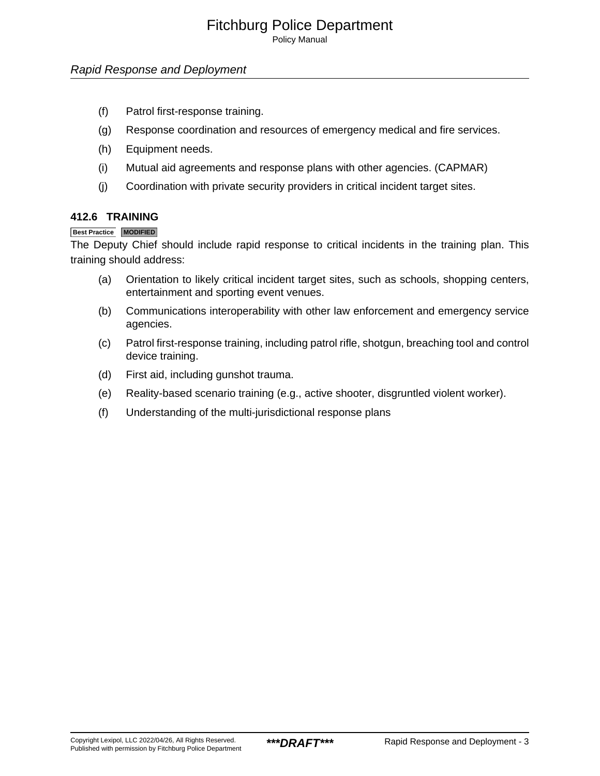Policy Manual

#### Rapid Response and Deployment

- (f) Patrol first-response training.
- (g) Response coordination and resources of emergency medical and fire services.
- (h) Equipment needs.
- (i) Mutual aid agreements and response plans with other agencies. (CAPMAR)
- (j) Coordination with private security providers in critical incident target sites.

#### **412.6 TRAINING**

#### **Best Practice MODIFIED**

The Deputy Chief should include rapid response to critical incidents in the training plan. This training should address:

- (a) Orientation to likely critical incident target sites, such as schools, shopping centers, entertainment and sporting event venues.
- (b) Communications interoperability with other law enforcement and emergency service agencies.
- (c) Patrol first-response training, including patrol rifle, shotgun, breaching tool and control device training.
- (d) First aid, including gunshot trauma.
- (e) Reality-based scenario training (e.g., active shooter, disgruntled violent worker).
- (f) Understanding of the multi-jurisdictional response plans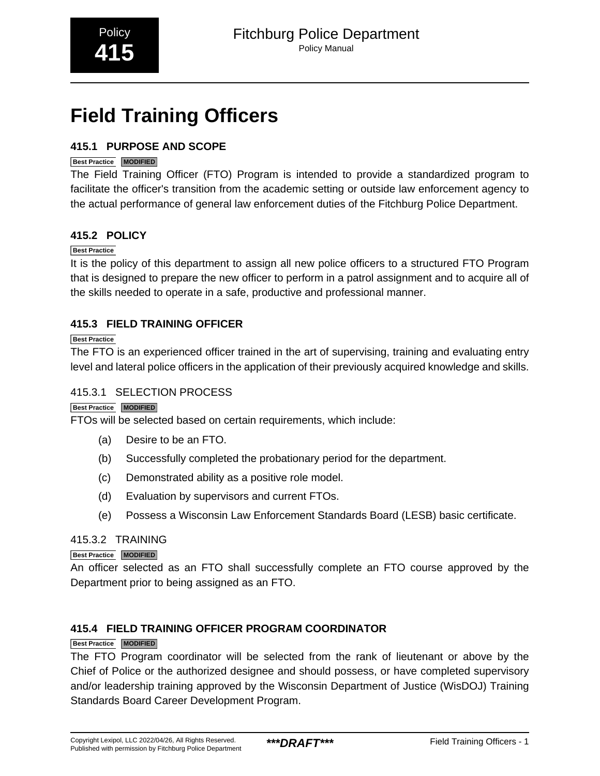# <span id="page-22-0"></span>**Field Training Officers**

#### **415.1 PURPOSE AND SCOPE**

#### **Best Practice MODIFIED**

The Field Training Officer (FTO) Program is intended to provide a standardized program to facilitate the officer's transition from the academic setting or outside law enforcement agency to the actual performance of general law enforcement duties of the Fitchburg Police Department.

#### **415.2 POLICY**

#### **Best Practice**

It is the policy of this department to assign all new police officers to a structured FTO Program that is designed to prepare the new officer to perform in a patrol assignment and to acquire all of the skills needed to operate in a safe, productive and professional manner.

#### **415.3 FIELD TRAINING OFFICER**

#### **Best Practice**

The FTO is an experienced officer trained in the art of supervising, training and evaluating entry level and lateral police officers in the application of their previously acquired knowledge and skills.

#### 415.3.1 SELECTION PROCESS

#### **Best Practice MODIFIED**

FTOs will be selected based on certain requirements, which include:

- (a) Desire to be an FTO.
- (b) Successfully completed the probationary period for the department.
- (c) Demonstrated ability as a positive role model.
- (d) Evaluation by supervisors and current FTOs.
- (e) Possess a Wisconsin Law Enforcement Standards Board (LESB) basic certificate.

#### 415.3.2 TRAINING

#### **Best Practice MODIFIED**

An officer selected as an FTO shall successfully complete an FTO course approved by the Department prior to being assigned as an FTO.

#### **415.4 FIELD TRAINING OFFICER PROGRAM COORDINATOR**

#### **Best Practice MODIFIED**

The FTO Program coordinator will be selected from the rank of lieutenant or above by the Chief of Police or the authorized designee and should possess, or have completed supervisory and/or leadership training approved by the Wisconsin Department of Justice (WisDOJ) Training Standards Board Career Development Program.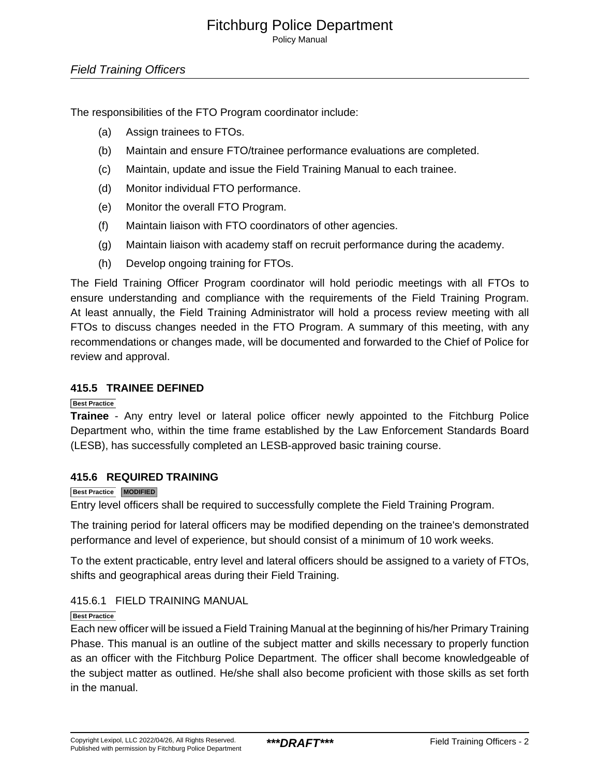Policy Manual

#### Field Training Officers

The responsibilities of the FTO Program coordinator include:

- (a) Assign trainees to FTOs.
- (b) Maintain and ensure FTO/trainee performance evaluations are completed.
- (c) Maintain, update and issue the Field Training Manual to each trainee.
- (d) Monitor individual FTO performance.
- (e) Monitor the overall FTO Program.
- (f) Maintain liaison with FTO coordinators of other agencies.
- (g) Maintain liaison with academy staff on recruit performance during the academy.
- (h) Develop ongoing training for FTOs.

The Field Training Officer Program coordinator will hold periodic meetings with all FTOs to ensure understanding and compliance with the requirements of the Field Training Program. At least annually, the Field Training Administrator will hold a process review meeting with all FTOs to discuss changes needed in the FTO Program. A summary of this meeting, with any recommendations or changes made, will be documented and forwarded to the Chief of Police for review and approval.

#### **415.5 TRAINEE DEFINED**

#### **Best Practice**

**Trainee** - Any entry level or lateral police officer newly appointed to the Fitchburg Police Department who, within the time frame established by the Law Enforcement Standards Board (LESB), has successfully completed an LESB-approved basic training course.

#### **415.6 REQUIRED TRAINING**

#### **Best Practice MODIFIED**

Entry level officers shall be required to successfully complete the Field Training Program.

The training period for lateral officers may be modified depending on the trainee's demonstrated performance and level of experience, but should consist of a minimum of 10 work weeks.

To the extent practicable, entry level and lateral officers should be assigned to a variety of FTOs, shifts and geographical areas during their Field Training.

#### 415.6.1 FIELD TRAINING MANUAL

#### **Best Practice**

Each new officer will be issued a Field Training Manual at the beginning of his/her Primary Training Phase. This manual is an outline of the subject matter and skills necessary to properly function as an officer with the Fitchburg Police Department. The officer shall become knowledgeable of the subject matter as outlined. He/she shall also become proficient with those skills as set forth in the manual.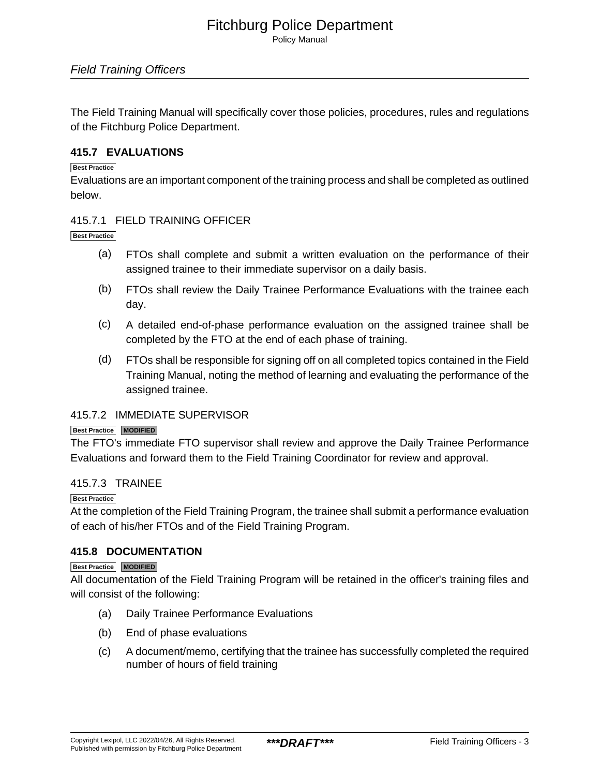Policy Manual

The Field Training Manual will specifically cover those policies, procedures, rules and regulations of the Fitchburg Police Department.

#### **415.7 EVALUATIONS**

#### **Best Practice**

Evaluations are an important component of the training process and shall be completed as outlined below.

#### 415.7.1 FIELD TRAINING OFFICER

**Best Practice**

- (a) FTOs shall complete and submit a written evaluation on the performance of their assigned trainee to their immediate supervisor on a daily basis.
- (b) FTOs shall review the Daily Trainee Performance Evaluations with the trainee each day.
- (c) A detailed end-of-phase performance evaluation on the assigned trainee shall be completed by the FTO at the end of each phase of training.
- (d) FTOs shall be responsible for signing off on all completed topics contained in the Field Training Manual, noting the method of learning and evaluating the performance of the assigned trainee.

#### 415.7.2 IMMEDIATE SUPERVISOR

#### **Best Practice MODIFIED**

The FTO's immediate FTO supervisor shall review and approve the Daily Trainee Performance Evaluations and forward them to the Field Training Coordinator for review and approval.

#### 415.7.3 TRAINEE

#### **Best Practice**

At the completion of the Field Training Program, the trainee shall submit a performance evaluation of each of his/her FTOs and of the Field Training Program.

#### **415.8 DOCUMENTATION**

#### **Best Practice MODIFIED**

All documentation of the Field Training Program will be retained in the officer's training files and will consist of the following:

- (a) Daily Trainee Performance Evaluations
- (b) End of phase evaluations
- (c) A document/memo, certifying that the trainee has successfully completed the required number of hours of field training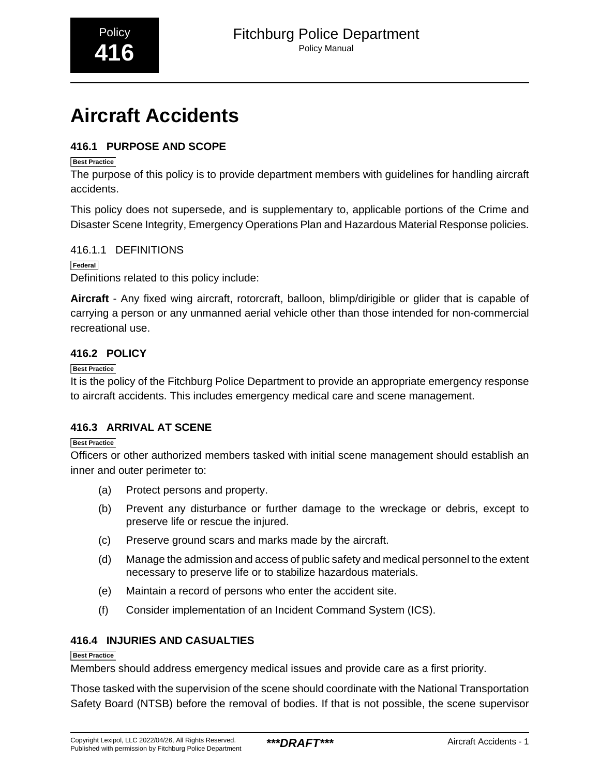# <span id="page-25-0"></span>**Aircraft Accidents**

#### **416.1 PURPOSE AND SCOPE**

#### **Best Practice**

The purpose of this policy is to provide department members with guidelines for handling aircraft accidents.

This policy does not supersede, and is supplementary to, applicable portions of the Crime and Disaster Scene Integrity, Emergency Operations Plan and Hazardous Material Response policies.

#### 416.1.1 DEFINITIONS

**Federal**

Definitions related to this policy include:

**Aircraft** - Any fixed wing aircraft, rotorcraft, balloon, blimp/dirigible or glider that is capable of carrying a person or any unmanned aerial vehicle other than those intended for non-commercial recreational use.

#### **416.2 POLICY**

#### **Best Practice**

It is the policy of the Fitchburg Police Department to provide an appropriate emergency response to aircraft accidents. This includes emergency medical care and scene management.

#### **416.3 ARRIVAL AT SCENE**

#### **Best Practice**

Officers or other authorized members tasked with initial scene management should establish an inner and outer perimeter to:

- (a) Protect persons and property.
- (b) Prevent any disturbance or further damage to the wreckage or debris, except to preserve life or rescue the injured.
- (c) Preserve ground scars and marks made by the aircraft.
- (d) Manage the admission and access of public safety and medical personnel to the extent necessary to preserve life or to stabilize hazardous materials.
- (e) Maintain a record of persons who enter the accident site.
- (f) Consider implementation of an Incident Command System (ICS).

#### **416.4 INJURIES AND CASUALTIES**

#### **Best Practice**

Members should address emergency medical issues and provide care as a first priority.

Those tasked with the supervision of the scene should coordinate with the National Transportation Safety Board (NTSB) before the removal of bodies. If that is not possible, the scene supervisor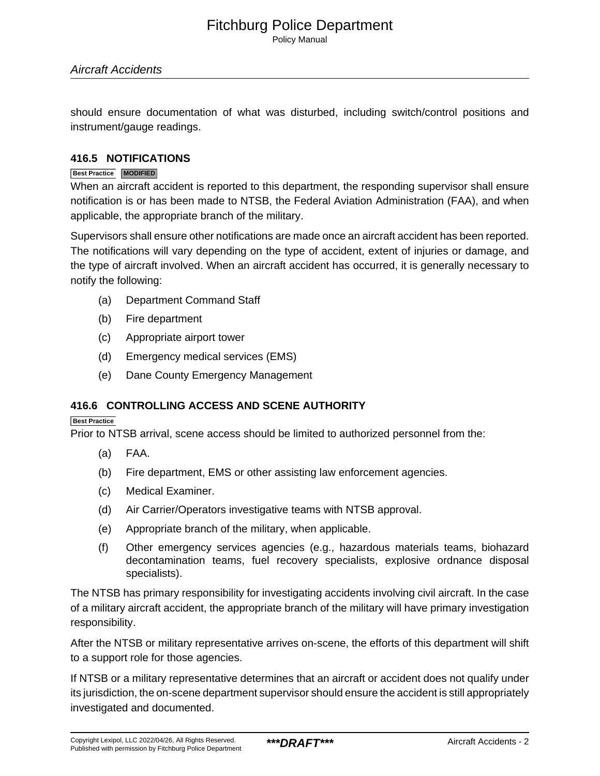Policy Manual

should ensure documentation of what was disturbed, including switch/control positions and instrument/gauge readings.

#### **416.5 NOTIFICATIONS**

#### **Best Practice MODIFIED**

When an aircraft accident is reported to this department, the responding supervisor shall ensure notification is or has been made to NTSB, the Federal Aviation Administration (FAA), and when applicable, the appropriate branch of the military.

Supervisors shall ensure other notifications are made once an aircraft accident has been reported. The notifications will vary depending on the type of accident, extent of injuries or damage, and the type of aircraft involved. When an aircraft accident has occurred, it is generally necessary to notify the following:

- (a) Department Command Staff
- (b) Fire department
- (c) Appropriate airport tower
- (d) Emergency medical services (EMS)
- (e) Dane County Emergency Management

#### **416.6 CONTROLLING ACCESS AND SCENE AUTHORITY**

#### **Best Practice**

Prior to NTSB arrival, scene access should be limited to authorized personnel from the:

- (a) FAA.
- (b) Fire department, EMS or other assisting law enforcement agencies.
- (c) Medical Examiner.
- (d) Air Carrier/Operators investigative teams with NTSB approval.
- (e) Appropriate branch of the military, when applicable.
- (f) Other emergency services agencies (e.g., hazardous materials teams, biohazard decontamination teams, fuel recovery specialists, explosive ordnance disposal specialists).

The NTSB has primary responsibility for investigating accidents involving civil aircraft. In the case of a military aircraft accident, the appropriate branch of the military will have primary investigation responsibility.

After the NTSB or military representative arrives on-scene, the efforts of this department will shift to a support role for those agencies.

If NTSB or a military representative determines that an aircraft or accident does not qualify under its jurisdiction, the on-scene department supervisor should ensure the accident is still appropriately investigated and documented.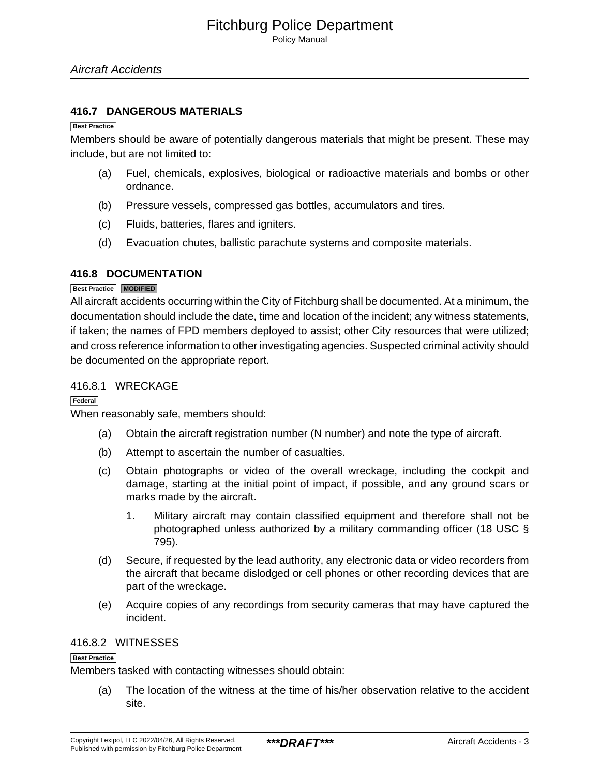#### **416.7 DANGEROUS MATERIALS**

#### **Best Practice**

Members should be aware of potentially dangerous materials that might be present. These may include, but are not limited to:

- (a) Fuel, chemicals, explosives, biological or radioactive materials and bombs or other ordnance.
- (b) Pressure vessels, compressed gas bottles, accumulators and tires.
- (c) Fluids, batteries, flares and igniters.
- (d) Evacuation chutes, ballistic parachute systems and composite materials.

#### **416.8 DOCUMENTATION**

#### **Best Practice MODIFIED**

All aircraft accidents occurring within the City of Fitchburg shall be documented. At a minimum, the documentation should include the date, time and location of the incident; any witness statements, if taken; the names of FPD members deployed to assist; other City resources that were utilized; and cross reference information to other investigating agencies. Suspected criminal activity should be documented on the appropriate report.

#### 416.8.1 WRECKAGE

**Federal**

When reasonably safe, members should:

- (a) Obtain the aircraft registration number (N number) and note the type of aircraft.
- (b) Attempt to ascertain the number of casualties.
- (c) Obtain photographs or video of the overall wreckage, including the cockpit and damage, starting at the initial point of impact, if possible, and any ground scars or marks made by the aircraft.
	- 1. Military aircraft may contain classified equipment and therefore shall not be photographed unless authorized by a military commanding officer (18 USC § 795).
- (d) Secure, if requested by the lead authority, any electronic data or video recorders from the aircraft that became dislodged or cell phones or other recording devices that are part of the wreckage.
- (e) Acquire copies of any recordings from security cameras that may have captured the incident.

#### 416.8.2 WITNESSES

#### **Best Practice**

Members tasked with contacting witnesses should obtain:

(a) The location of the witness at the time of his/her observation relative to the accident site.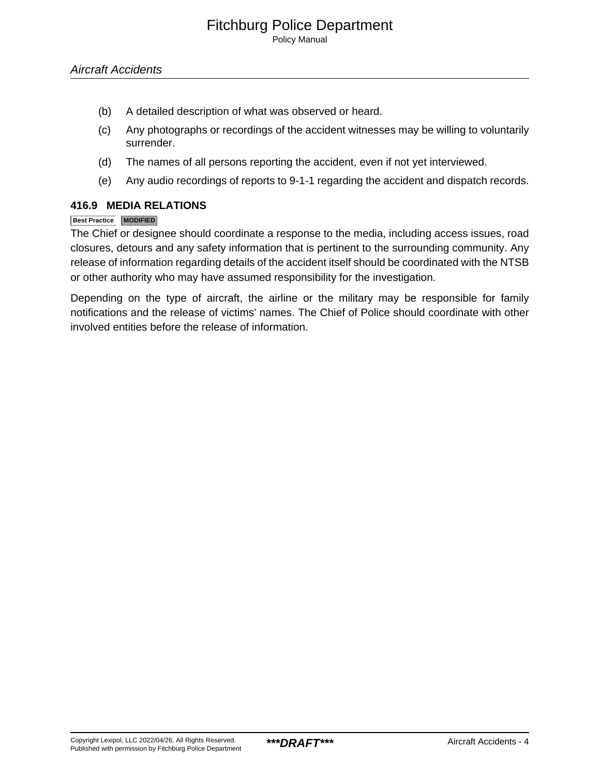Policy Manual

- (b) A detailed description of what was observed or heard.
- (c) Any photographs or recordings of the accident witnesses may be willing to voluntarily surrender.
- (d) The names of all persons reporting the accident, even if not yet interviewed.
- (e) Any audio recordings of reports to 9-1-1 regarding the accident and dispatch records.

#### **416.9 MEDIA RELATIONS**

#### **Best Practice MODIFIED**

The Chief or designee should coordinate a response to the media, including access issues, road closures, detours and any safety information that is pertinent to the surrounding community. Any release of information regarding details of the accident itself should be coordinated with the NTSB or other authority who may have assumed responsibility for the investigation.

Depending on the type of aircraft, the airline or the military may be responsible for family notifications and the release of victims' names. The Chief of Police should coordinate with other involved entities before the release of information.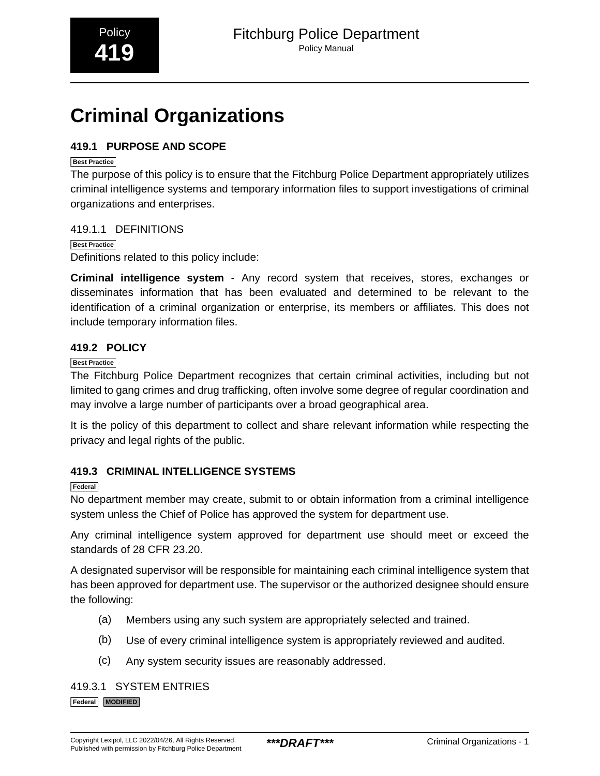# <span id="page-29-0"></span>**Criminal Organizations**

#### **419.1 PURPOSE AND SCOPE**

#### **Best Practice**

The purpose of this policy is to ensure that the Fitchburg Police Department appropriately utilizes criminal intelligence systems and temporary information files to support investigations of criminal organizations and enterprises.

#### 419.1.1 DEFINITIONS

#### **Best Practice**

Definitions related to this policy include:

**Criminal intelligence system** - Any record system that receives, stores, exchanges or disseminates information that has been evaluated and determined to be relevant to the identification of a criminal organization or enterprise, its members or affiliates. This does not include temporary information files.

#### **419.2 POLICY**

#### **Best Practice**

The Fitchburg Police Department recognizes that certain criminal activities, including but not limited to gang crimes and drug trafficking, often involve some degree of regular coordination and may involve a large number of participants over a broad geographical area.

It is the policy of this department to collect and share relevant information while respecting the privacy and legal rights of the public.

#### **419.3 CRIMINAL INTELLIGENCE SYSTEMS**

#### **Federal**

No department member may create, submit to or obtain information from a criminal intelligence system unless the Chief of Police has approved the system for department use.

Any criminal intelligence system approved for department use should meet or exceed the standards of 28 CFR 23.20.

A designated supervisor will be responsible for maintaining each criminal intelligence system that has been approved for department use. The supervisor or the authorized designee should ensure the following:

- (a) Members using any such system are appropriately selected and trained.
- (b) Use of every criminal intelligence system is appropriately reviewed and audited.
- (c) Any system security issues are reasonably addressed.

#### 419.3.1 SYSTEM ENTRIES

**Federal MODIFIED**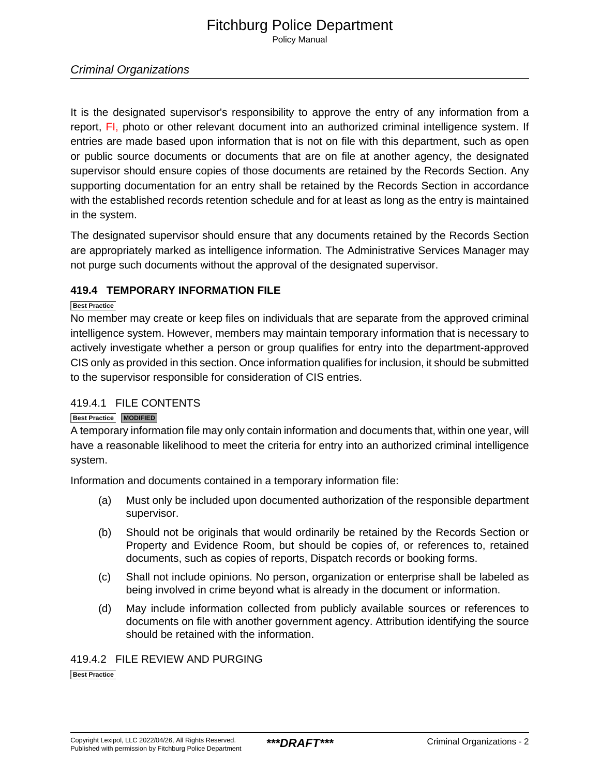Policy Manual

#### Criminal Organizations

It is the designated supervisor's responsibility to approve the entry of any information from a report,  $\overline{F}$ , photo or other relevant document into an authorized criminal intelligence system. If entries are made based upon information that is not on file with this department, such as open or public source documents or documents that are on file at another agency, the designated supervisor should ensure copies of those documents are retained by the Records Section. Any supporting documentation for an entry shall be retained by the Records Section in accordance with the established records retention schedule and for at least as long as the entry is maintained in the system.

The designated supervisor should ensure that any documents retained by the Records Section are appropriately marked as intelligence information. The Administrative Services Manager may not purge such documents without the approval of the designated supervisor.

#### **419.4 TEMPORARY INFORMATION FILE**

#### **Best Practice**

No member may create or keep files on individuals that are separate from the approved criminal intelligence system. However, members may maintain temporary information that is necessary to actively investigate whether a person or group qualifies for entry into the department-approved CIS only as provided in this section. Once information qualifies for inclusion, it should be submitted to the supervisor responsible for consideration of CIS entries.

#### 419.4.1 FILE CONTENTS

#### **Best Practice MODIFIED**

A temporary information file may only contain information and documents that, within one year, will have a reasonable likelihood to meet the criteria for entry into an authorized criminal intelligence system.

Information and documents contained in a temporary information file:

- (a) Must only be included upon documented authorization of the responsible department supervisor.
- (b) Should not be originals that would ordinarily be retained by the Records Section or Property and Evidence Room, but should be copies of, or references to, retained documents, such as copies of reports, Dispatch records or booking forms.
- (c) Shall not include opinions. No person, organization or enterprise shall be labeled as being involved in crime beyond what is already in the document or information.
- (d) May include information collected from publicly available sources or references to documents on file with another government agency. Attribution identifying the source should be retained with the information.

#### 419.4.2 FILE REVIEW AND PURGING

**Best Practice**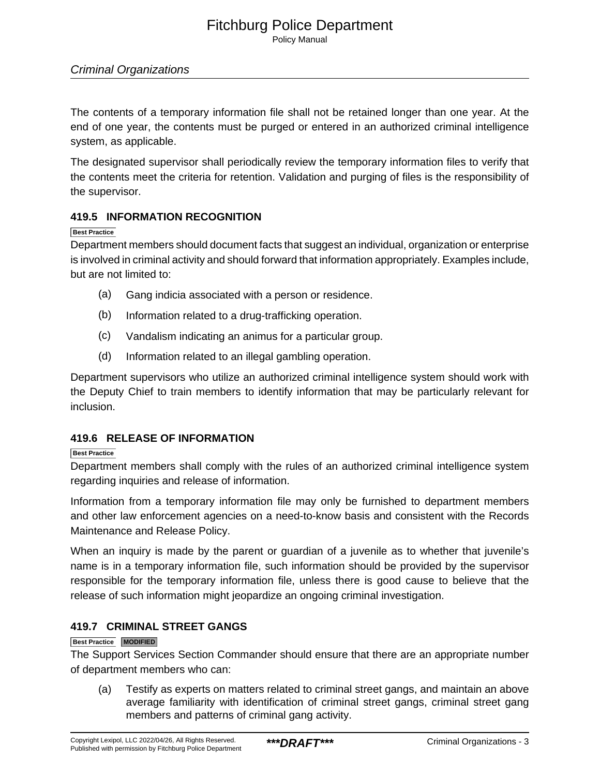Policy Manual

#### Criminal Organizations

The contents of a temporary information file shall not be retained longer than one year. At the end of one year, the contents must be purged or entered in an authorized criminal intelligence system, as applicable.

The designated supervisor shall periodically review the temporary information files to verify that the contents meet the criteria for retention. Validation and purging of files is the responsibility of the supervisor.

#### **419.5 INFORMATION RECOGNITION**

#### **Best Practice**

Department members should document facts that suggest an individual, organization or enterprise is involved in criminal activity and should forward that information appropriately. Examples include, but are not limited to:

- (a) Gang indicia associated with a person or residence.
- (b) Information related to a drug-trafficking operation.
- (c) Vandalism indicating an animus for a particular group.
- (d) Information related to an illegal gambling operation.

Department supervisors who utilize an authorized criminal intelligence system should work with the Deputy Chief to train members to identify information that may be particularly relevant for inclusion.

#### **419.6 RELEASE OF INFORMATION**

#### **Best Practice**

Department members shall comply with the rules of an authorized criminal intelligence system regarding inquiries and release of information.

Information from a temporary information file may only be furnished to department members and other law enforcement agencies on a need-to-know basis and consistent with the Records Maintenance and Release Policy.

When an inquiry is made by the parent or quardian of a juvenile as to whether that juvenile's name is in a temporary information file, such information should be provided by the supervisor responsible for the temporary information file, unless there is good cause to believe that the release of such information might jeopardize an ongoing criminal investigation.

#### **419.7 CRIMINAL STREET GANGS**

#### **Best Practice MODIFIED**

The Support Services Section Commander should ensure that there are an appropriate number of department members who can:

(a) Testify as experts on matters related to criminal street gangs, and maintain an above average familiarity with identification of criminal street gangs, criminal street gang members and patterns of criminal gang activity.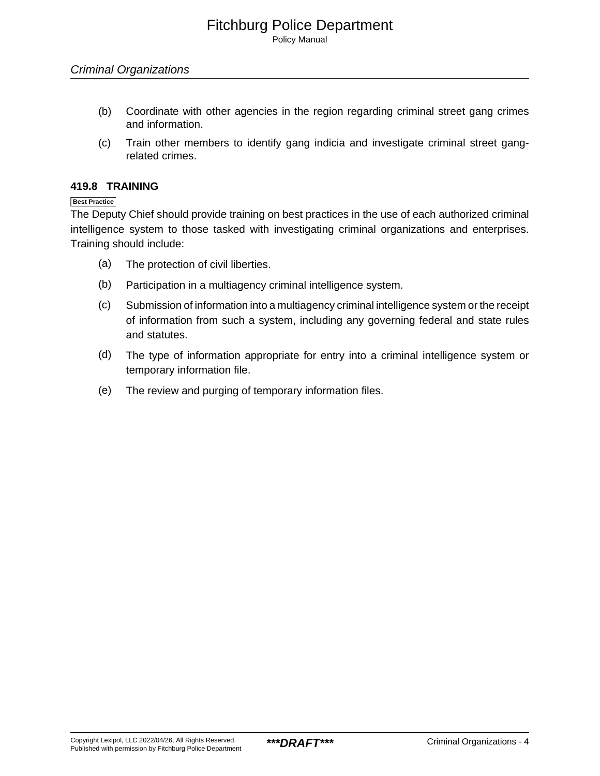Policy Manual

- (b) Coordinate with other agencies in the region regarding criminal street gang crimes and information.
- (c) Train other members to identify gang indicia and investigate criminal street gangrelated crimes.

#### **419.8 TRAINING**

**Best Practice**

The Deputy Chief should provide training on best practices in the use of each authorized criminal intelligence system to those tasked with investigating criminal organizations and enterprises. Training should include:

- (a) The protection of civil liberties.
- (b) Participation in a multiagency criminal intelligence system.
- (c) Submission of information into a multiagency criminal intelligence system or the receipt of information from such a system, including any governing federal and state rules and statutes.
- (d) The type of information appropriate for entry into a criminal intelligence system or temporary information file.
- (e) The review and purging of temporary information files.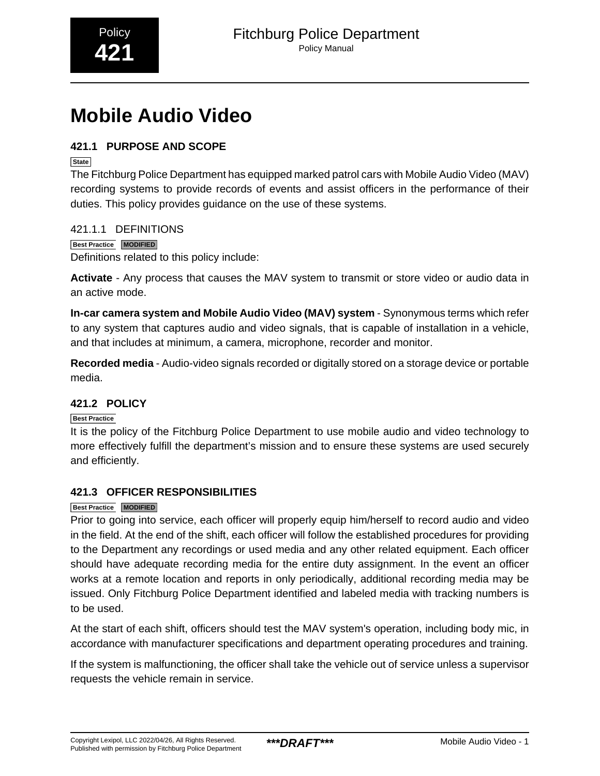# <span id="page-33-0"></span>**Mobile Audio Video**

#### **421.1 PURPOSE AND SCOPE**

**State**

The Fitchburg Police Department has equipped marked patrol cars with Mobile Audio Video (MAV) recording systems to provide records of events and assist officers in the performance of their duties. This policy provides guidance on the use of these systems.

#### 421.1.1 DEFINITIONS

#### **Best Practice MODIFIED**

Definitions related to this policy include:

**Activate** - Any process that causes the MAV system to transmit or store video or audio data in an active mode.

**In-car camera system and Mobile Audio Video (MAV) system** - Synonymous terms which refer to any system that captures audio and video signals, that is capable of installation in a vehicle, and that includes at minimum, a camera, microphone, recorder and monitor.

**Recorded media** - Audio-video signals recorded or digitally stored on a storage device or portable media.

#### **421.2 POLICY**

#### **Best Practice**

It is the policy of the Fitchburg Police Department to use mobile audio and video technology to more effectively fulfill the department's mission and to ensure these systems are used securely and efficiently.

#### **421.3 OFFICER RESPONSIBILITIES**

#### **Best Practice MODIFIED**

Prior to going into service, each officer will properly equip him/herself to record audio and video in the field. At the end of the shift, each officer will follow the established procedures for providing to the Department any recordings or used media and any other related equipment. Each officer should have adequate recording media for the entire duty assignment. In the event an officer works at a remote location and reports in only periodically, additional recording media may be issued. Only Fitchburg Police Department identified and labeled media with tracking numbers is to be used.

At the start of each shift, officers should test the MAV system's operation, including body mic, in accordance with manufacturer specifications and department operating procedures and training.

If the system is malfunctioning, the officer shall take the vehicle out of service unless a supervisor requests the vehicle remain in service.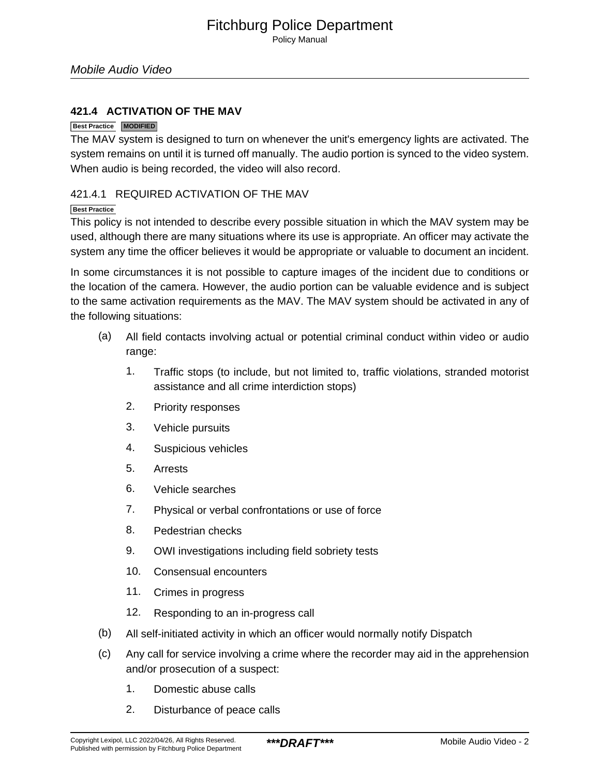Policy Manual

#### **421.4 ACTIVATION OF THE MAV**

#### **Best Practice MODIFIED**

The MAV system is designed to turn on whenever the unit's emergency lights are activated. The system remains on until it is turned off manually. The audio portion is synced to the video system. When audio is being recorded, the video will also record.

#### 421.4.1 REQUIRED ACTIVATION OF THE MAV

#### **Best Practice**

This policy is not intended to describe every possible situation in which the MAV system may be used, although there are many situations where its use is appropriate. An officer may activate the system any time the officer believes it would be appropriate or valuable to document an incident.

In some circumstances it is not possible to capture images of the incident due to conditions or the location of the camera. However, the audio portion can be valuable evidence and is subject to the same activation requirements as the MAV. The MAV system should be activated in any of the following situations:

- (a) All field contacts involving actual or potential criminal conduct within video or audio range:
	- 1. Traffic stops (to include, but not limited to, traffic violations, stranded motorist assistance and all crime interdiction stops)
	- 2. Priority responses
	- 3. Vehicle pursuits
	- 4. Suspicious vehicles
	- 5. Arrests
	- 6. Vehicle searches
	- 7. Physical or verbal confrontations or use of force
	- 8. Pedestrian checks
	- 9. OWI investigations including field sobriety tests
	- 10. Consensual encounters
	- 11. Crimes in progress
	- 12. Responding to an in-progress call
- (b) All self-initiated activity in which an officer would normally notify Dispatch
- (c) Any call for service involving a crime where the recorder may aid in the apprehension and/or prosecution of a suspect:
	- 1. Domestic abuse calls
	- 2. Disturbance of peace calls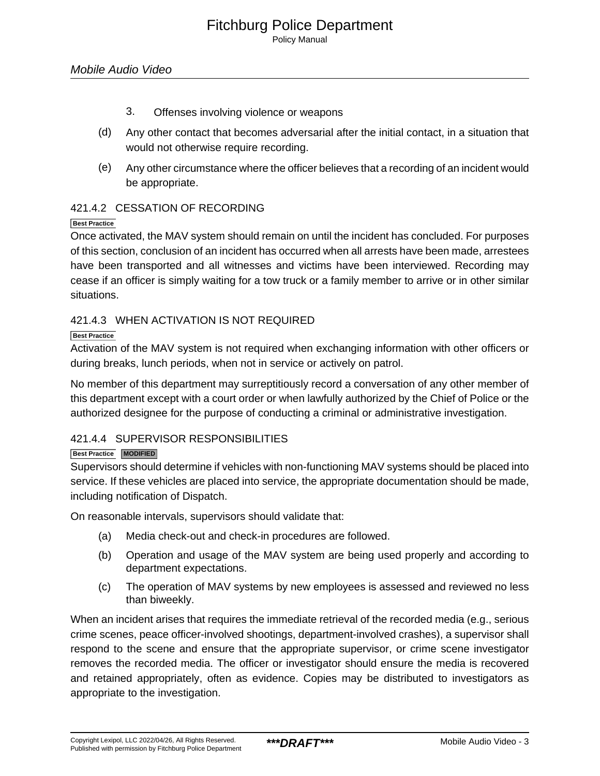Policy Manual

- 3. Offenses involving violence or weapons
- (d) Any other contact that becomes adversarial after the initial contact, in a situation that would not otherwise require recording.
- (e) Any other circumstance where the officer believes that a recording of an incident would be appropriate.

#### 421.4.2 CESSATION OF RECORDING

#### **Best Practice**

Once activated, the MAV system should remain on until the incident has concluded. For purposes of this section, conclusion of an incident has occurred when all arrests have been made, arrestees have been transported and all witnesses and victims have been interviewed. Recording may cease if an officer is simply waiting for a tow truck or a family member to arrive or in other similar situations.

#### 421.4.3 WHEN ACTIVATION IS NOT REQUIRED

#### **Best Practice**

Activation of the MAV system is not required when exchanging information with other officers or during breaks, lunch periods, when not in service or actively on patrol.

No member of this department may surreptitiously record a conversation of any other member of this department except with a court order or when lawfully authorized by the Chief of Police or the authorized designee for the purpose of conducting a criminal or administrative investigation.

#### 421.4.4 SUPERVISOR RESPONSIBILITIES

#### **Best Practice MODIFIED**

Supervisors should determine if vehicles with non-functioning MAV systems should be placed into service. If these vehicles are placed into service, the appropriate documentation should be made, including notification of Dispatch.

On reasonable intervals, supervisors should validate that:

- (a) Media check-out and check-in procedures are followed.
- (b) Operation and usage of the MAV system are being used properly and according to department expectations.
- (c) The operation of MAV systems by new employees is assessed and reviewed no less than biweekly.

When an incident arises that requires the immediate retrieval of the recorded media (e.g., serious crime scenes, peace officer-involved shootings, department-involved crashes), a supervisor shall respond to the scene and ensure that the appropriate supervisor, or crime scene investigator removes the recorded media. The officer or investigator should ensure the media is recovered and retained appropriately, often as evidence. Copies may be distributed to investigators as appropriate to the investigation.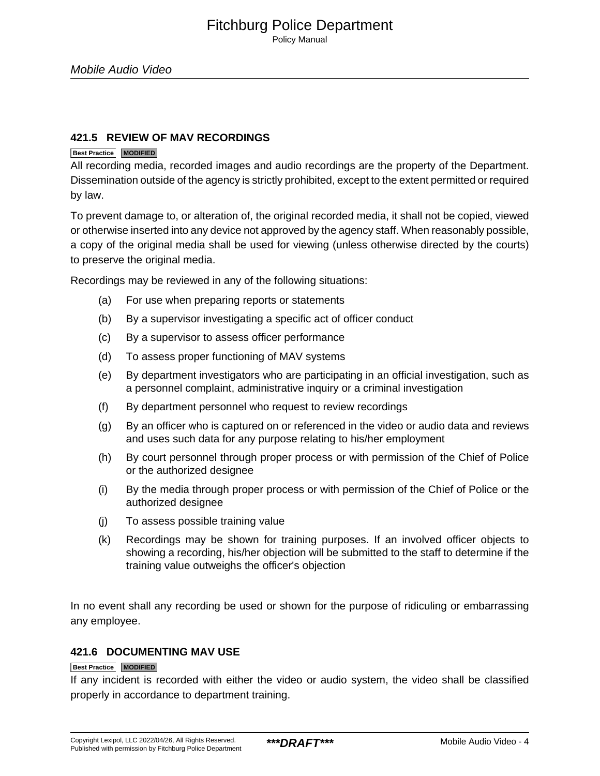Policy Manual

#### **421.5 REVIEW OF MAV RECORDINGS**

#### **Best Practice MODIFIED**

All recording media, recorded images and audio recordings are the property of the Department. Dissemination outside of the agency is strictly prohibited, except to the extent permitted or required by law.

To prevent damage to, or alteration of, the original recorded media, it shall not be copied, viewed or otherwise inserted into any device not approved by the agency staff. When reasonably possible, a copy of the original media shall be used for viewing (unless otherwise directed by the courts) to preserve the original media.

Recordings may be reviewed in any of the following situations:

- (a) For use when preparing reports or statements
- (b) By a supervisor investigating a specific act of officer conduct
- (c) By a supervisor to assess officer performance
- (d) To assess proper functioning of MAV systems
- (e) By department investigators who are participating in an official investigation, such as a personnel complaint, administrative inquiry or a criminal investigation
- (f) By department personnel who request to review recordings
- (g) By an officer who is captured on or referenced in the video or audio data and reviews and uses such data for any purpose relating to his/her employment
- (h) By court personnel through proper process or with permission of the Chief of Police or the authorized designee
- (i) By the media through proper process or with permission of the Chief of Police or the authorized designee
- (j) To assess possible training value
- (k) Recordings may be shown for training purposes. If an involved officer objects to showing a recording, his/her objection will be submitted to the staff to determine if the training value outweighs the officer's objection

In no event shall any recording be used or shown for the purpose of ridiculing or embarrassing any employee.

#### **421.6 DOCUMENTING MAV USE**

#### **Best Practice MODIFIED**

If any incident is recorded with either the video or audio system, the video shall be classified properly in accordance to department training.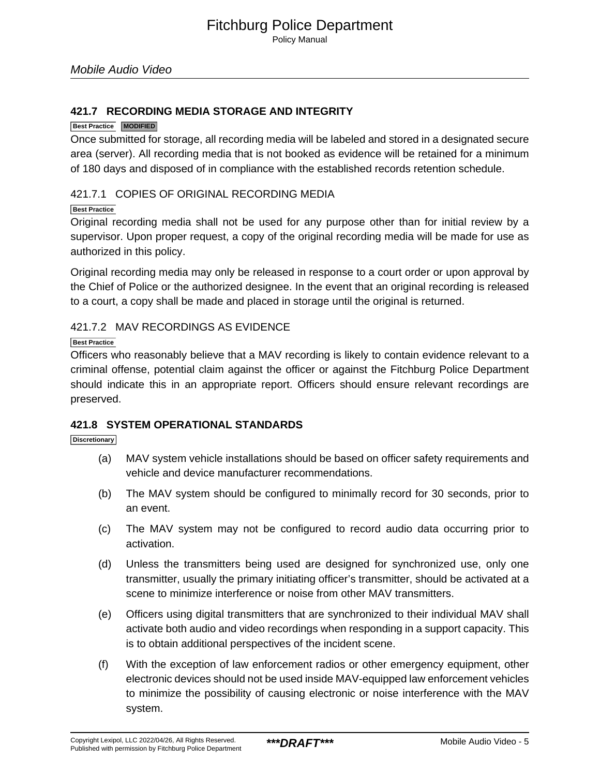#### **421.7 RECORDING MEDIA STORAGE AND INTEGRITY**

#### **Best Practice MODIFIED**

Once submitted for storage, all recording media will be labeled and stored in a designated secure area (server). All recording media that is not booked as evidence will be retained for a minimum of 180 days and disposed of in compliance with the established records retention schedule.

#### 421.7.1 COPIES OF ORIGINAL RECORDING MEDIA

#### **Best Practice**

Original recording media shall not be used for any purpose other than for initial review by a supervisor. Upon proper request, a copy of the original recording media will be made for use as authorized in this policy.

Original recording media may only be released in response to a court order or upon approval by the Chief of Police or the authorized designee. In the event that an original recording is released to a court, a copy shall be made and placed in storage until the original is returned.

#### 421.7.2 MAV RECORDINGS AS EVIDENCE

**Best Practice**

Officers who reasonably believe that a MAV recording is likely to contain evidence relevant to a criminal offense, potential claim against the officer or against the Fitchburg Police Department should indicate this in an appropriate report. Officers should ensure relevant recordings are preserved.

#### **421.8 SYSTEM OPERATIONAL STANDARDS**

#### **Discretionary**

- (a) MAV system vehicle installations should be based on officer safety requirements and vehicle and device manufacturer recommendations.
- (b) The MAV system should be configured to minimally record for 30 seconds, prior to an event.
- (c) The MAV system may not be configured to record audio data occurring prior to activation.
- (d) Unless the transmitters being used are designed for synchronized use, only one transmitter, usually the primary initiating officer's transmitter, should be activated at a scene to minimize interference or noise from other MAV transmitters.
- (e) Officers using digital transmitters that are synchronized to their individual MAV shall activate both audio and video recordings when responding in a support capacity. This is to obtain additional perspectives of the incident scene.
- (f) With the exception of law enforcement radios or other emergency equipment, other electronic devices should not be used inside MAV-equipped law enforcement vehicles to minimize the possibility of causing electronic or noise interference with the MAV system.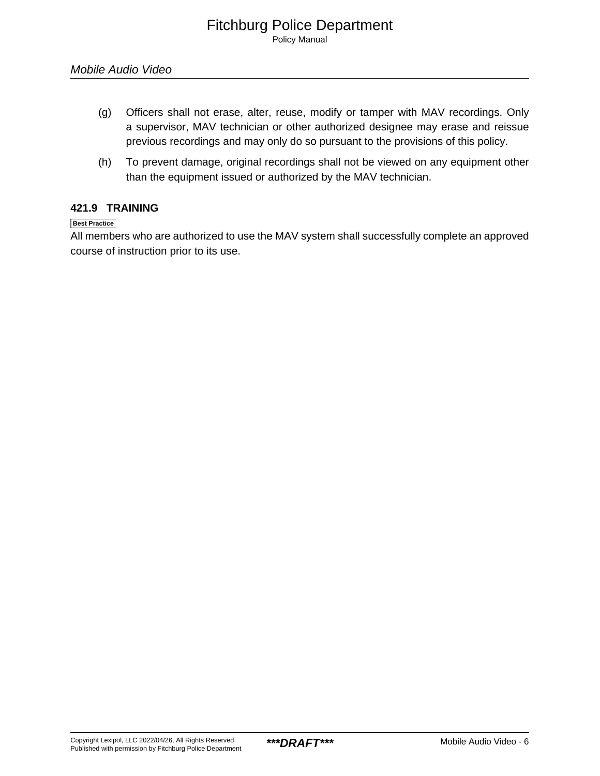- (g) Officers shall not erase, alter, reuse, modify or tamper with MAV recordings. Only a supervisor, MAV technician or other authorized designee may erase and reissue previous recordings and may only do so pursuant to the provisions of this policy.
- (h) To prevent damage, original recordings shall not be viewed on any equipment other than the equipment issued or authorized by the MAV technician.

#### **421.9 TRAINING**

#### **Best Practice**

All members who are authorized to use the MAV system shall successfully complete an approved course of instruction prior to its use.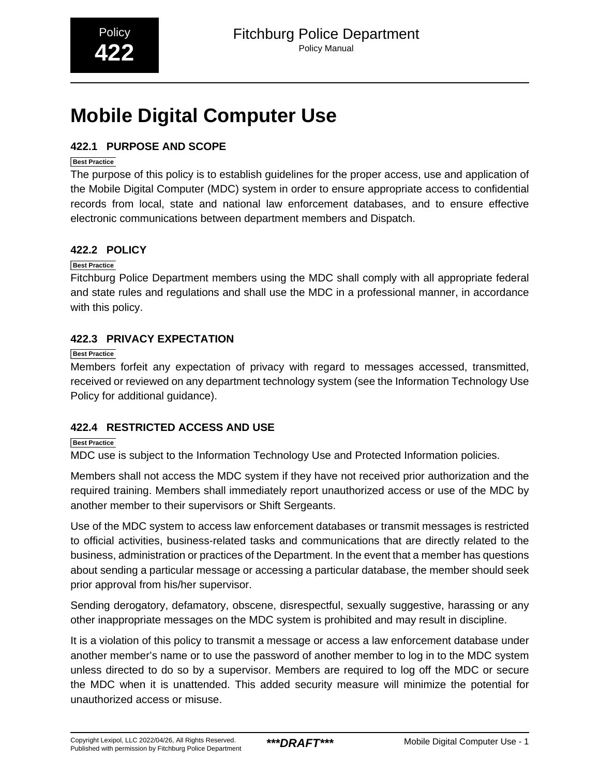# <span id="page-39-0"></span>**Mobile Digital Computer Use**

#### **422.1 PURPOSE AND SCOPE**

#### **Best Practice**

The purpose of this policy is to establish guidelines for the proper access, use and application of the Mobile Digital Computer (MDC) system in order to ensure appropriate access to confidential records from local, state and national law enforcement databases, and to ensure effective electronic communications between department members and Dispatch.

#### **422.2 POLICY**

#### **Best Practice**

Fitchburg Police Department members using the MDC shall comply with all appropriate federal and state rules and regulations and shall use the MDC in a professional manner, in accordance with this policy.

#### **422.3 PRIVACY EXPECTATION**

#### **Best Practice**

Members forfeit any expectation of privacy with regard to messages accessed, transmitted, received or reviewed on any department technology system (see the Information Technology Use Policy for additional guidance).

#### **422.4 RESTRICTED ACCESS AND USE**

#### **Best Practice**

MDC use is subject to the Information Technology Use and Protected Information policies.

Members shall not access the MDC system if they have not received prior authorization and the required training. Members shall immediately report unauthorized access or use of the MDC by another member to their supervisors or Shift Sergeants.

Use of the MDC system to access law enforcement databases or transmit messages is restricted to official activities, business-related tasks and communications that are directly related to the business, administration or practices of the Department. In the event that a member has questions about sending a particular message or accessing a particular database, the member should seek prior approval from his/her supervisor.

Sending derogatory, defamatory, obscene, disrespectful, sexually suggestive, harassing or any other inappropriate messages on the MDC system is prohibited and may result in discipline.

It is a violation of this policy to transmit a message or access a law enforcement database under another member's name or to use the password of another member to log in to the MDC system unless directed to do so by a supervisor. Members are required to log off the MDC or secure the MDC when it is unattended. This added security measure will minimize the potential for unauthorized access or misuse.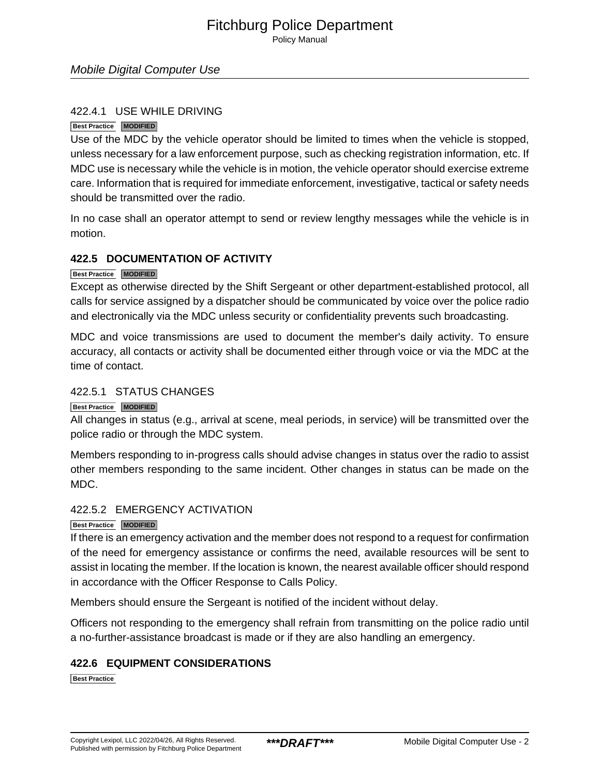Policy Manual

#### Mobile Digital Computer Use

#### 422.4.1 USE WHILE DRIVING

#### **Best Practice MODIFIED**

Use of the MDC by the vehicle operator should be limited to times when the vehicle is stopped, unless necessary for a law enforcement purpose, such as checking registration information, etc. If MDC use is necessary while the vehicle is in motion, the vehicle operator should exercise extreme care. Information that is required for immediate enforcement, investigative, tactical or safety needs should be transmitted over the radio.

In no case shall an operator attempt to send or review lengthy messages while the vehicle is in motion.

#### **422.5 DOCUMENTATION OF ACTIVITY**

#### **Best Practice MODIFIED**

Except as otherwise directed by the Shift Sergeant or other department-established protocol, all calls for service assigned by a dispatcher should be communicated by voice over the police radio and electronically via the MDC unless security or confidentiality prevents such broadcasting.

MDC and voice transmissions are used to document the member's daily activity. To ensure accuracy, all contacts or activity shall be documented either through voice or via the MDC at the time of contact.

#### 422.5.1 STATUS CHANGES

#### **Best Practice MODIFIED**

All changes in status (e.g., arrival at scene, meal periods, in service) will be transmitted over the police radio or through the MDC system.

Members responding to in-progress calls should advise changes in status over the radio to assist other members responding to the same incident. Other changes in status can be made on the MDC.

#### 422.5.2 EMERGENCY ACTIVATION

#### **Best Practice MODIFIED**

If there is an emergency activation and the member does not respond to a request for confirmation of the need for emergency assistance or confirms the need, available resources will be sent to assist in locating the member. If the location is known, the nearest available officer should respond in accordance with the Officer Response to Calls Policy.

Members should ensure the Sergeant is notified of the incident without delay.

Officers not responding to the emergency shall refrain from transmitting on the police radio until a no-further-assistance broadcast is made or if they are also handling an emergency.

#### **422.6 EQUIPMENT CONSIDERATIONS**

**Best Practice**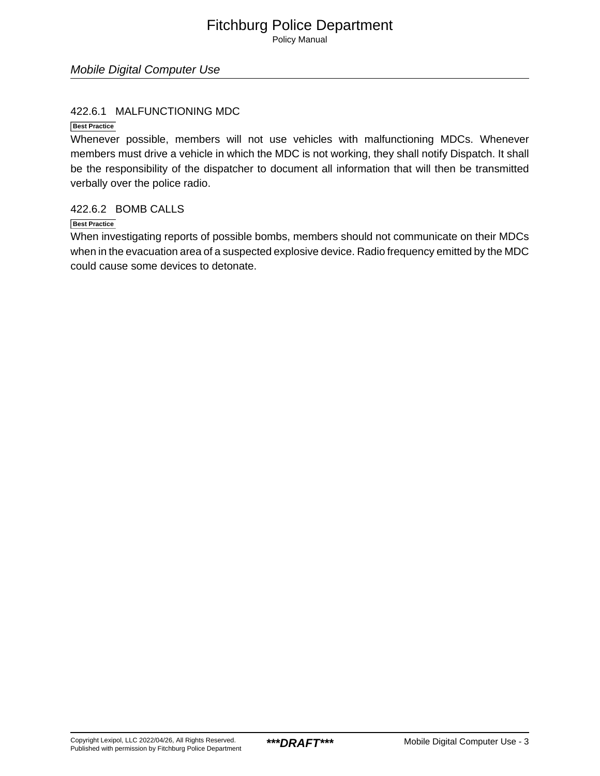Policy Manual

#### Mobile Digital Computer Use

#### 422.6.1 MALFUNCTIONING MDC

**Best Practice**

Whenever possible, members will not use vehicles with malfunctioning MDCs. Whenever members must drive a vehicle in which the MDC is not working, they shall notify Dispatch. It shall be the responsibility of the dispatcher to document all information that will then be transmitted verbally over the police radio.

#### 422.6.2 BOMB CALLS

#### **Best Practice**

When investigating reports of possible bombs, members should not communicate on their MDCs when in the evacuation area of a suspected explosive device. Radio frequency emitted by the MDC could cause some devices to detonate.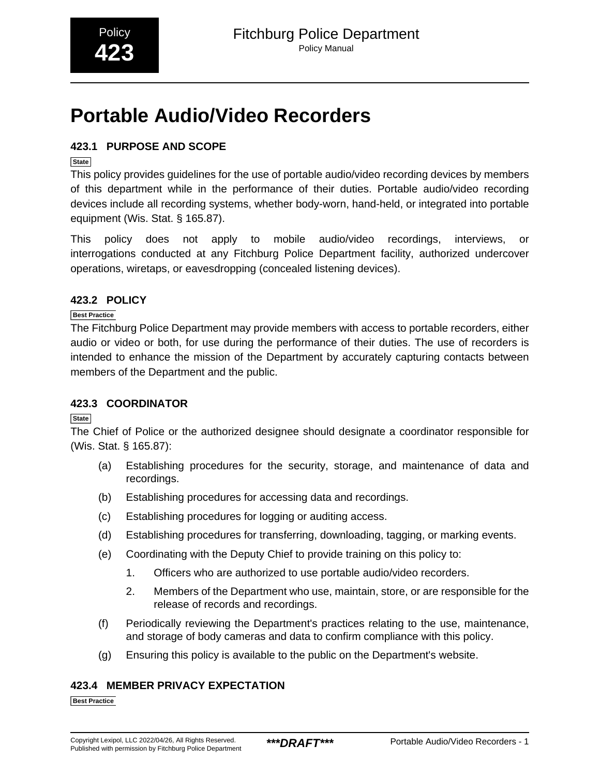# <span id="page-42-0"></span>**Portable Audio/Video Recorders**

#### **423.1 PURPOSE AND SCOPE**

#### **State**

This policy provides guidelines for the use of portable audio/video recording devices by members of this department while in the performance of their duties. Portable audio/video recording devices include all recording systems, whether body-worn, hand-held, or integrated into portable equipment (Wis. Stat. § 165.87).

This policy does not apply to mobile audio/video recordings, interviews, or interrogations conducted at any Fitchburg Police Department facility, authorized undercover operations, wiretaps, or eavesdropping (concealed listening devices).

#### **423.2 POLICY**

#### **Best Practice**

The Fitchburg Police Department may provide members with access to portable recorders, either audio or video or both, for use during the performance of their duties. The use of recorders is intended to enhance the mission of the Department by accurately capturing contacts between members of the Department and the public.

#### **423.3 COORDINATOR**

**State**

The Chief of Police or the authorized designee should designate a coordinator responsible for (Wis. Stat. § 165.87):

- (a) Establishing procedures for the security, storage, and maintenance of data and recordings.
- (b) Establishing procedures for accessing data and recordings.
- (c) Establishing procedures for logging or auditing access.
- (d) Establishing procedures for transferring, downloading, tagging, or marking events.
- (e) Coordinating with the Deputy Chief to provide training on this policy to:
	- 1. Officers who are authorized to use portable audio/video recorders.
	- 2. Members of the Department who use, maintain, store, or are responsible for the release of records and recordings.
- (f) Periodically reviewing the Department's practices relating to the use, maintenance, and storage of body cameras and data to confirm compliance with this policy.
- (g) Ensuring this policy is available to the public on the Department's website.

#### **423.4 MEMBER PRIVACY EXPECTATION**

**Best Practice**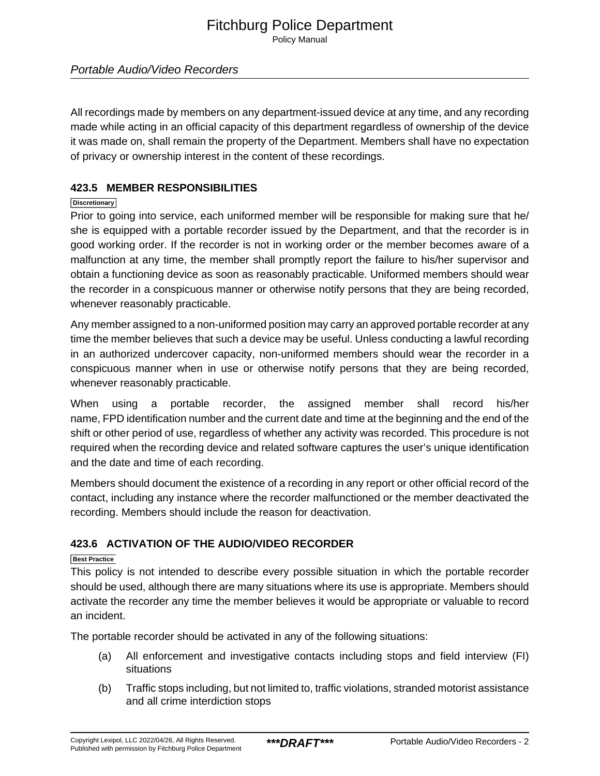Policy Manual

#### Portable Audio/Video Recorders

All recordings made by members on any department-issued device at any time, and any recording made while acting in an official capacity of this department regardless of ownership of the device it was made on, shall remain the property of the Department. Members shall have no expectation of privacy or ownership interest in the content of these recordings.

#### **423.5 MEMBER RESPONSIBILITIES**

#### **Discretionary**

Prior to going into service, each uniformed member will be responsible for making sure that he/ she is equipped with a portable recorder issued by the Department, and that the recorder is in good working order. If the recorder is not in working order or the member becomes aware of a malfunction at any time, the member shall promptly report the failure to his/her supervisor and obtain a functioning device as soon as reasonably practicable. Uniformed members should wear the recorder in a conspicuous manner or otherwise notify persons that they are being recorded, whenever reasonably practicable.

Any member assigned to a non-uniformed position may carry an approved portable recorder at any time the member believes that such a device may be useful. Unless conducting a lawful recording in an authorized undercover capacity, non-uniformed members should wear the recorder in a conspicuous manner when in use or otherwise notify persons that they are being recorded, whenever reasonably practicable.

When using a portable recorder, the assigned member shall record his/her name, FPD identification number and the current date and time at the beginning and the end of the shift or other period of use, regardless of whether any activity was recorded. This procedure is not required when the recording device and related software captures the user's unique identification and the date and time of each recording.

Members should document the existence of a recording in any report or other official record of the contact, including any instance where the recorder malfunctioned or the member deactivated the recording. Members should include the reason for deactivation.

#### **423.6 ACTIVATION OF THE AUDIO/VIDEO RECORDER**

#### **Best Practice**

This policy is not intended to describe every possible situation in which the portable recorder should be used, although there are many situations where its use is appropriate. Members should activate the recorder any time the member believes it would be appropriate or valuable to record an incident.

The portable recorder should be activated in any of the following situations:

- (a) All enforcement and investigative contacts including stops and field interview (FI) situations
- (b) Traffic stops including, but not limited to, traffic violations, stranded motorist assistance and all crime interdiction stops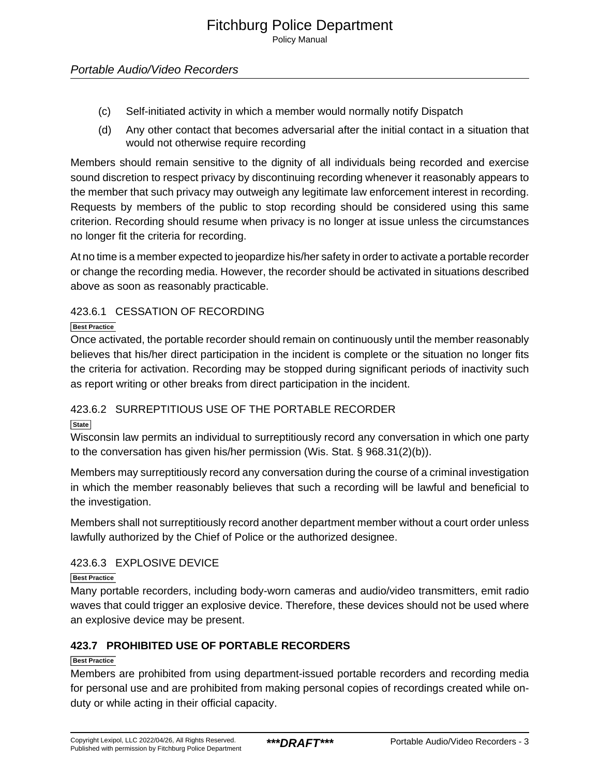- (c) Self-initiated activity in which a member would normally notify Dispatch
- (d) Any other contact that becomes adversarial after the initial contact in a situation that would not otherwise require recording

Members should remain sensitive to the dignity of all individuals being recorded and exercise sound discretion to respect privacy by discontinuing recording whenever it reasonably appears to the member that such privacy may outweigh any legitimate law enforcement interest in recording. Requests by members of the public to stop recording should be considered using this same criterion. Recording should resume when privacy is no longer at issue unless the circumstances no longer fit the criteria for recording.

At no time is a member expected to jeopardize his/her safety in order to activate a portable recorder or change the recording media. However, the recorder should be activated in situations described above as soon as reasonably practicable.

#### 423.6.1 CESSATION OF RECORDING

#### **Best Practice**

Once activated, the portable recorder should remain on continuously until the member reasonably believes that his/her direct participation in the incident is complete or the situation no longer fits the criteria for activation. Recording may be stopped during significant periods of inactivity such as report writing or other breaks from direct participation in the incident.

#### 423.6.2 SURREPTITIOUS USE OF THE PORTABLE RECORDER

#### **State**

Wisconsin law permits an individual to surreptitiously record any conversation in which one party to the conversation has given his/her permission (Wis. Stat. § 968.31(2)(b)).

Members may surreptitiously record any conversation during the course of a criminal investigation in which the member reasonably believes that such a recording will be lawful and beneficial to the investigation.

Members shall not surreptitiously record another department member without a court order unless lawfully authorized by the Chief of Police or the authorized designee.

#### 423.6.3 EXPLOSIVE DEVICE

#### **Best Practice**

Many portable recorders, including body-worn cameras and audio/video transmitters, emit radio waves that could trigger an explosive device. Therefore, these devices should not be used where an explosive device may be present.

#### **423.7 PROHIBITED USE OF PORTABLE RECORDERS**

#### **Best Practice**

Members are prohibited from using department-issued portable recorders and recording media for personal use and are prohibited from making personal copies of recordings created while onduty or while acting in their official capacity.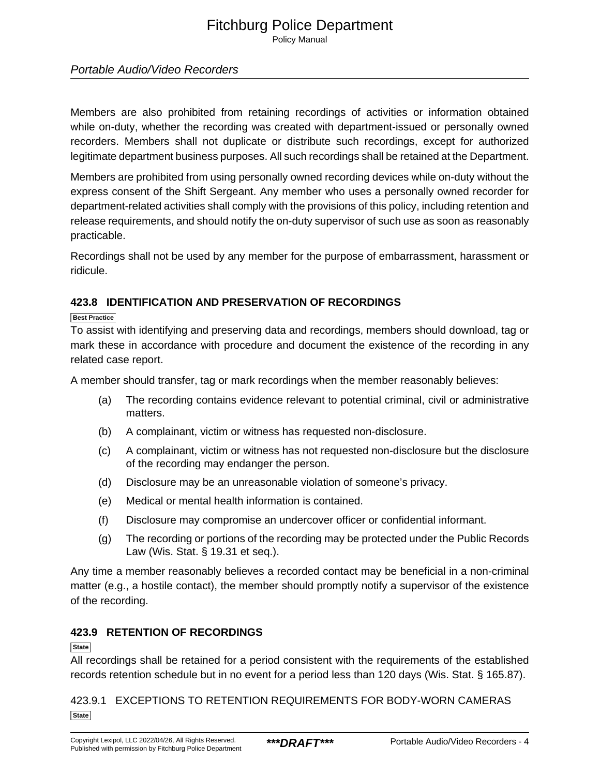Policy Manual

#### Portable Audio/Video Recorders

Members are also prohibited from retaining recordings of activities or information obtained while on-duty, whether the recording was created with department-issued or personally owned recorders. Members shall not duplicate or distribute such recordings, except for authorized legitimate department business purposes. All such recordings shall be retained at the Department.

Members are prohibited from using personally owned recording devices while on-duty without the express consent of the Shift Sergeant. Any member who uses a personally owned recorder for department-related activities shall comply with the provisions of this policy, including retention and release requirements, and should notify the on-duty supervisor of such use as soon as reasonably practicable.

Recordings shall not be used by any member for the purpose of embarrassment, harassment or ridicule.

#### **423.8 IDENTIFICATION AND PRESERVATION OF RECORDINGS**

#### **Best Practice**

To assist with identifying and preserving data and recordings, members should download, tag or mark these in accordance with procedure and document the existence of the recording in any related case report.

A member should transfer, tag or mark recordings when the member reasonably believes:

- (a) The recording contains evidence relevant to potential criminal, civil or administrative matters.
- (b) A complainant, victim or witness has requested non-disclosure.
- (c) A complainant, victim or witness has not requested non-disclosure but the disclosure of the recording may endanger the person.
- (d) Disclosure may be an unreasonable violation of someone's privacy.
- (e) Medical or mental health information is contained.
- (f) Disclosure may compromise an undercover officer or confidential informant.
- (g) The recording or portions of the recording may be protected under the Public Records Law (Wis. Stat. § 19.31 et seq.).

Any time a member reasonably believes a recorded contact may be beneficial in a non-criminal matter (e.g., a hostile contact), the member should promptly notify a supervisor of the existence of the recording.

#### **423.9 RETENTION OF RECORDINGS**

#### **State**

All recordings shall be retained for a period consistent with the requirements of the established records retention schedule but in no event for a period less than 120 days (Wis. Stat. § 165.87).

423.9.1 EXCEPTIONS TO RETENTION REQUIREMENTS FOR BODY-WORN CAMERAS **State**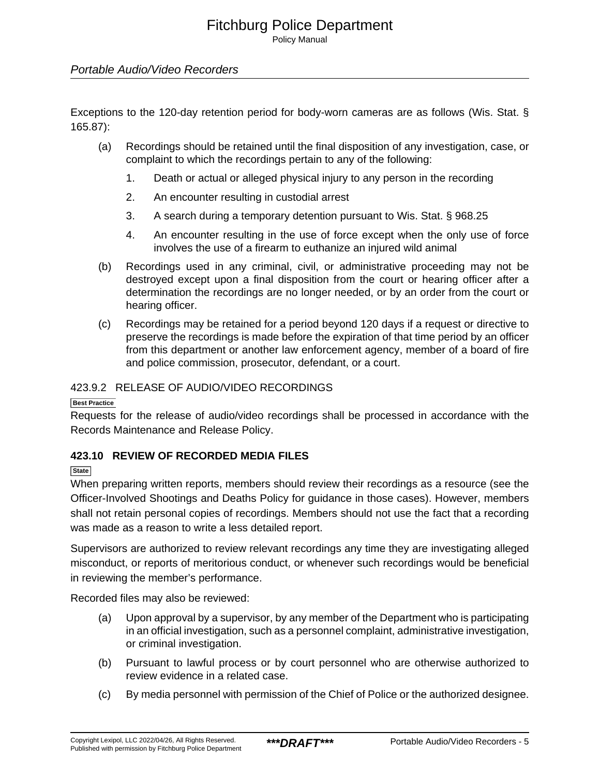Policy Manual

#### Portable Audio/Video Recorders

Exceptions to the 120-day retention period for body-worn cameras are as follows (Wis. Stat. § 165.87):

- (a) Recordings should be retained until the final disposition of any investigation, case, or complaint to which the recordings pertain to any of the following:
	- 1. Death or actual or alleged physical injury to any person in the recording
	- 2. An encounter resulting in custodial arrest
	- 3. A search during a temporary detention pursuant to Wis. Stat. § 968.25
	- 4. An encounter resulting in the use of force except when the only use of force involves the use of a firearm to euthanize an injured wild animal
- (b) Recordings used in any criminal, civil, or administrative proceeding may not be destroyed except upon a final disposition from the court or hearing officer after a determination the recordings are no longer needed, or by an order from the court or hearing officer.
- (c) Recordings may be retained for a period beyond 120 days if a request or directive to preserve the recordings is made before the expiration of that time period by an officer from this department or another law enforcement agency, member of a board of fire and police commission, prosecutor, defendant, or a court.

#### 423.9.2 RELEASE OF AUDIO/VIDEO RECORDINGS

#### **Best Practice**

Requests for the release of audio/video recordings shall be processed in accordance with the Records Maintenance and Release Policy.

#### **423.10 REVIEW OF RECORDED MEDIA FILES**

**State**

When preparing written reports, members should review their recordings as a resource (see the Officer-Involved Shootings and Deaths Policy for guidance in those cases). However, members shall not retain personal copies of recordings. Members should not use the fact that a recording was made as a reason to write a less detailed report.

Supervisors are authorized to review relevant recordings any time they are investigating alleged misconduct, or reports of meritorious conduct, or whenever such recordings would be beneficial in reviewing the member's performance.

Recorded files may also be reviewed:

- (a) Upon approval by a supervisor, by any member of the Department who is participating in an official investigation, such as a personnel complaint, administrative investigation, or criminal investigation.
- (b) Pursuant to lawful process or by court personnel who are otherwise authorized to review evidence in a related case.
- (c) By media personnel with permission of the Chief of Police or the authorized designee.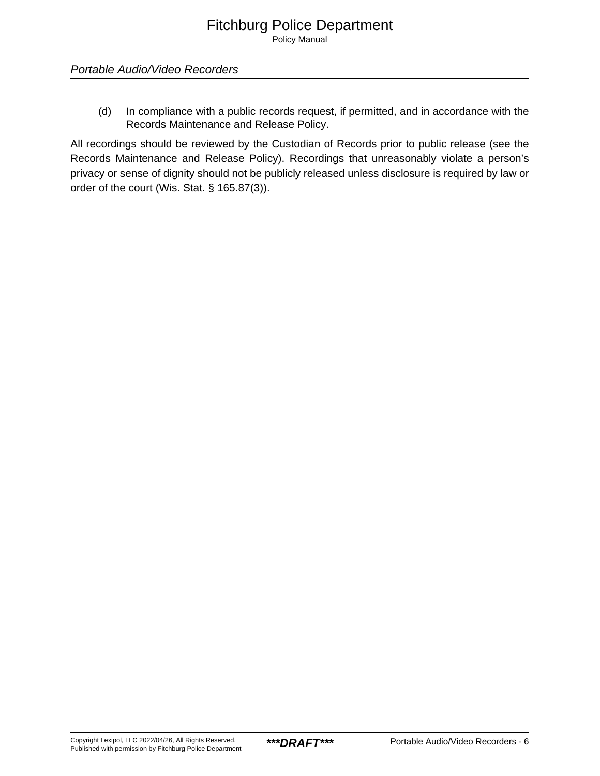(d) In compliance with a public records request, if permitted, and in accordance with the Records Maintenance and Release Policy.

All recordings should be reviewed by the Custodian of Records prior to public release (see the Records Maintenance and Release Policy). Recordings that unreasonably violate a person's privacy or sense of dignity should not be publicly released unless disclosure is required by law or order of the court (Wis. Stat. § 165.87(3)).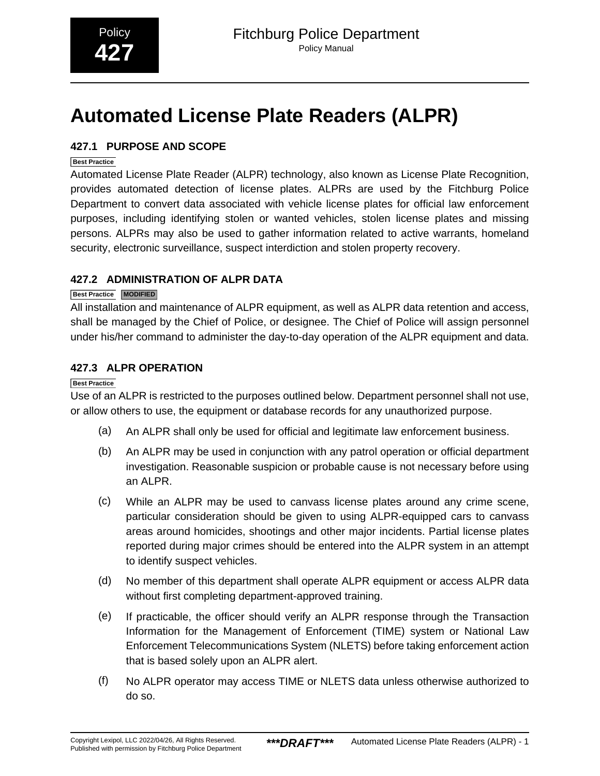# <span id="page-48-0"></span>**Automated License Plate Readers (ALPR)**

#### **427.1 PURPOSE AND SCOPE**

#### **Best Practice**

Automated License Plate Reader (ALPR) technology, also known as License Plate Recognition, provides automated detection of license plates. ALPRs are used by the Fitchburg Police Department to convert data associated with vehicle license plates for official law enforcement purposes, including identifying stolen or wanted vehicles, stolen license plates and missing persons. ALPRs may also be used to gather information related to active warrants, homeland security, electronic surveillance, suspect interdiction and stolen property recovery.

#### **427.2 ADMINISTRATION OF ALPR DATA**

#### **Best Practice MODIFIED**

All installation and maintenance of ALPR equipment, as well as ALPR data retention and access, shall be managed by the Chief of Police, or designee. The Chief of Police will assign personnel under his/her command to administer the day-to-day operation of the ALPR equipment and data.

#### **427.3 ALPR OPERATION**

#### **Best Practice**

Use of an ALPR is restricted to the purposes outlined below. Department personnel shall not use, or allow others to use, the equipment or database records for any unauthorized purpose.

- (a) An ALPR shall only be used for official and legitimate law enforcement business.
- (b) An ALPR may be used in conjunction with any patrol operation or official department investigation. Reasonable suspicion or probable cause is not necessary before using an ALPR.
- (c) While an ALPR may be used to canvass license plates around any crime scene, particular consideration should be given to using ALPR-equipped cars to canvass areas around homicides, shootings and other major incidents. Partial license plates reported during major crimes should be entered into the ALPR system in an attempt to identify suspect vehicles.
- (d) No member of this department shall operate ALPR equipment or access ALPR data without first completing department-approved training.
- (e) If practicable, the officer should verify an ALPR response through the Transaction Information for the Management of Enforcement (TIME) system or National Law Enforcement Telecommunications System (NLETS) before taking enforcement action that is based solely upon an ALPR alert.
- (f) No ALPR operator may access TIME or NLETS data unless otherwise authorized to do so.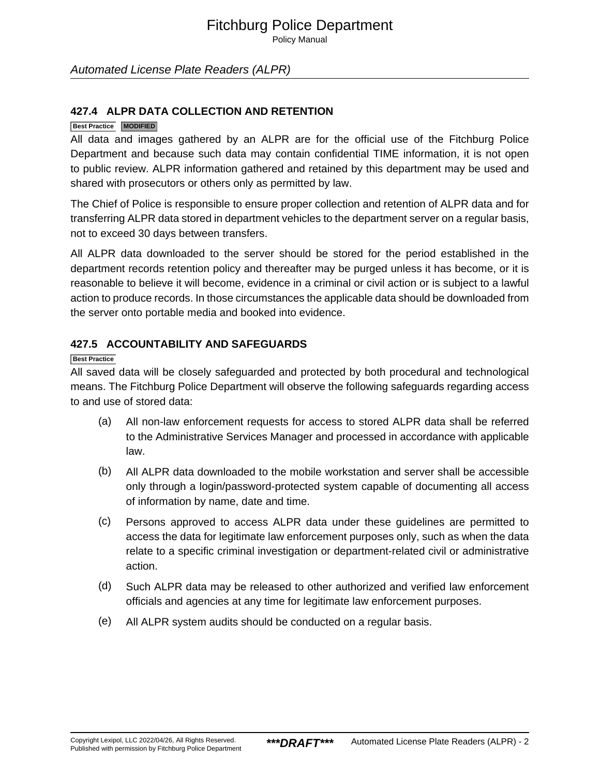Policy Manual

#### Automated License Plate Readers (ALPR)

#### **427.4 ALPR DATA COLLECTION AND RETENTION**

#### **Best Practice MODIFIED**

All data and images gathered by an ALPR are for the official use of the Fitchburg Police Department and because such data may contain confidential TIME information, it is not open to public review. ALPR information gathered and retained by this department may be used and shared with prosecutors or others only as permitted by law.

The Chief of Police is responsible to ensure proper collection and retention of ALPR data and for transferring ALPR data stored in department vehicles to the department server on a regular basis, not to exceed 30 days between transfers.

All ALPR data downloaded to the server should be stored for the period established in the department records retention policy and thereafter may be purged unless it has become, or it is reasonable to believe it will become, evidence in a criminal or civil action or is subject to a lawful action to produce records. In those circumstances the applicable data should be downloaded from the server onto portable media and booked into evidence.

#### **427.5 ACCOUNTABILITY AND SAFEGUARDS**

#### **Best Practice**

All saved data will be closely safeguarded and protected by both procedural and technological means. The Fitchburg Police Department will observe the following safeguards regarding access to and use of stored data:

- (a) All non-law enforcement requests for access to stored ALPR data shall be referred to the Administrative Services Manager and processed in accordance with applicable law.
- (b) All ALPR data downloaded to the mobile workstation and server shall be accessible only through a login/password-protected system capable of documenting all access of information by name, date and time.
- (c) Persons approved to access ALPR data under these guidelines are permitted to access the data for legitimate law enforcement purposes only, such as when the data relate to a specific criminal investigation or department-related civil or administrative action.
- (d) Such ALPR data may be released to other authorized and verified law enforcement officials and agencies at any time for legitimate law enforcement purposes.
- (e) All ALPR system audits should be conducted on a regular basis.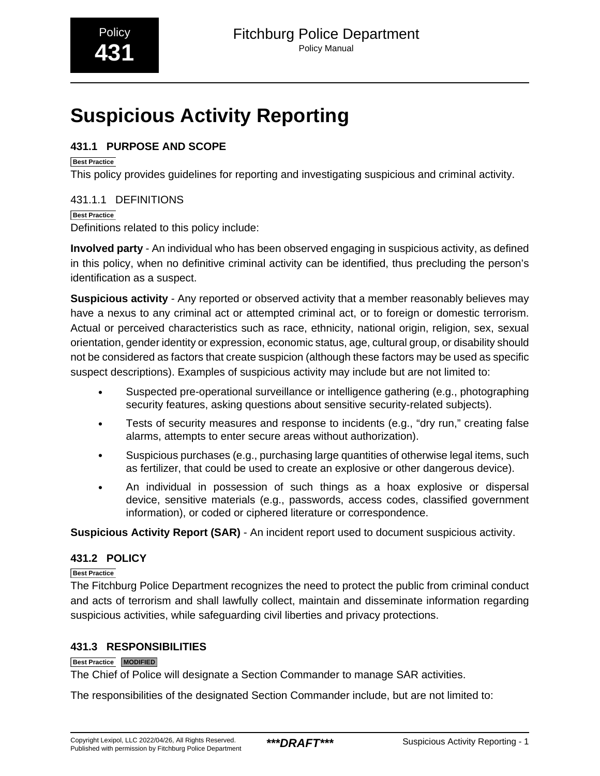# <span id="page-50-0"></span>**Suspicious Activity Reporting**

#### **431.1 PURPOSE AND SCOPE**

**Best Practice**

This policy provides guidelines for reporting and investigating suspicious and criminal activity.

431.1.1 DEFINITIONS **Best Practice** Definitions related to this policy include:

**Involved party** - An individual who has been observed engaging in suspicious activity, as defined in this policy, when no definitive criminal activity can be identified, thus precluding the person's identification as a suspect.

**Suspicious activity** - Any reported or observed activity that a member reasonably believes may have a nexus to any criminal act or attempted criminal act, or to foreign or domestic terrorism. Actual or perceived characteristics such as race, ethnicity, national origin, religion, sex, sexual orientation, gender identity or expression, economic status, age, cultural group, or disability should not be considered as factors that create suspicion (although these factors may be used as specific suspect descriptions). Examples of suspicious activity may include but are not limited to:

- Suspected pre-operational surveillance or intelligence gathering (e.g., photographing security features, asking questions about sensitive security-related subjects).
- Tests of security measures and response to incidents (e.g., "dry run," creating false alarms, attempts to enter secure areas without authorization).
- Suspicious purchases (e.g., purchasing large quantities of otherwise legal items, such as fertilizer, that could be used to create an explosive or other dangerous device).
- An individual in possession of such things as a hoax explosive or dispersal device, sensitive materials (e.g., passwords, access codes, classified government information), or coded or ciphered literature or correspondence.

**Suspicious Activity Report (SAR)** - An incident report used to document suspicious activity.

#### **431.2 POLICY**

**Best Practice**

The Fitchburg Police Department recognizes the need to protect the public from criminal conduct and acts of terrorism and shall lawfully collect, maintain and disseminate information regarding suspicious activities, while safeguarding civil liberties and privacy protections.

#### **431.3 RESPONSIBILITIES**

#### **Best Practice MODIFIED**

The Chief of Police will designate a Section Commander to manage SAR activities.

The responsibilities of the designated Section Commander include, but are not limited to: